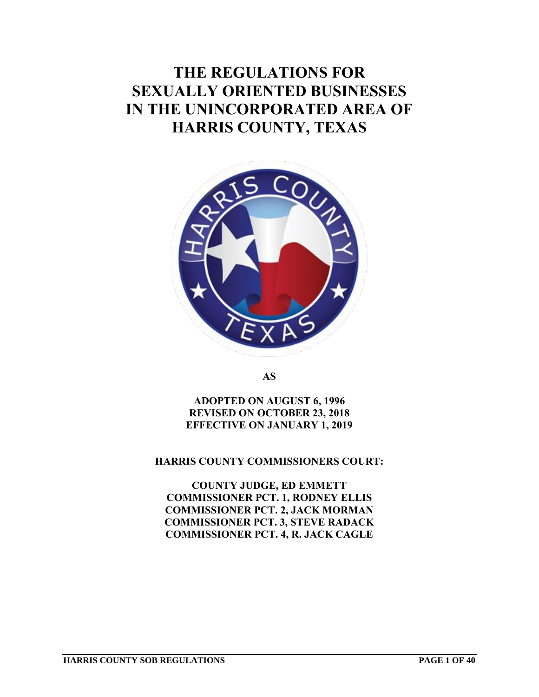# **THE REGULATIONS FOR SEXUALLY ORIENTED BUSINESSES IN THE UNINCORPORATED AREA OF HARRIS COUNTY, TEXAS**



**AS**

**ADOPTED ON AUGUST 6, 1996 REVISED ON OCTOBER 23, 2018 EFFECTIVE ON JANUARY 1, 2019**

**HARRIS COUNTY COMMISSIONERS COURT:**

**COUNTY JUDGE, ED EMMETT COMMISSIONER PCT. 1, RODNEY ELLIS COMMISSIONER PCT. 2, JACK MORMAN COMMISSIONER PCT. 3, STEVE RADACK COMMISSIONER PCT. 4, R. JACK CAGLE**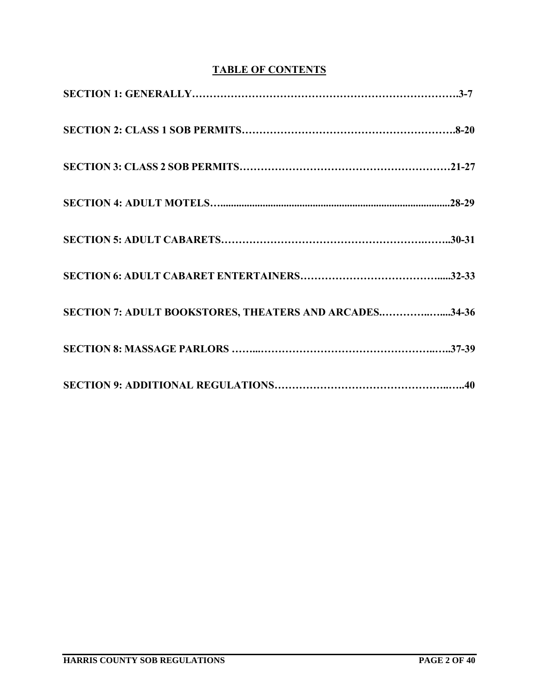# **TABLE OF CONTENTS**

| SECTION 7: ADULT BOOKSTORES, THEATERS AND ARCADES34-36 |
|--------------------------------------------------------|
|                                                        |
|                                                        |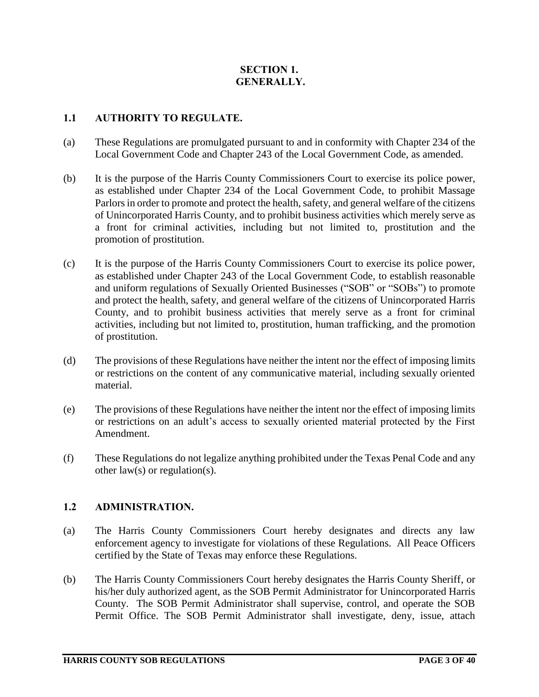# **SECTION 1. GENERALLY.**

# **1.1 AUTHORITY TO REGULATE.**

- (a) These Regulations are promulgated pursuant to and in conformity with Chapter 234 of the Local Government Code and Chapter 243 of the Local Government Code, as amended.
- (b) It is the purpose of the Harris County Commissioners Court to exercise its police power, as established under Chapter 234 of the Local Government Code, to prohibit Massage Parlors in order to promote and protect the health, safety, and general welfare of the citizens of Unincorporated Harris County, and to prohibit business activities which merely serve as a front for criminal activities, including but not limited to, prostitution and the promotion of prostitution.
- (c) It is the purpose of the Harris County Commissioners Court to exercise its police power, as established under Chapter 243 of the Local Government Code, to establish reasonable and uniform regulations of Sexually Oriented Businesses ("SOB" or "SOBs") to promote and protect the health, safety, and general welfare of the citizens of Unincorporated Harris County, and to prohibit business activities that merely serve as a front for criminal activities, including but not limited to, prostitution, human trafficking, and the promotion of prostitution.
- (d) The provisions of these Regulations have neither the intent nor the effect of imposing limits or restrictions on the content of any communicative material, including sexually oriented material.
- (e) The provisions of these Regulations have neither the intent nor the effect of imposing limits or restrictions on an adult's access to sexually oriented material protected by the First Amendment.
- (f) These Regulations do not legalize anything prohibited under the Texas Penal Code and any other law(s) or regulation(s).

#### **1.2 ADMINISTRATION.**

- (a) The Harris County Commissioners Court hereby designates and directs any law enforcement agency to investigate for violations of these Regulations. All Peace Officers certified by the State of Texas may enforce these Regulations.
- (b) The Harris County Commissioners Court hereby designates the Harris County Sheriff, or his/her duly authorized agent, as the SOB Permit Administrator for Unincorporated Harris County. The SOB Permit Administrator shall supervise, control, and operate the SOB Permit Office. The SOB Permit Administrator shall investigate, deny, issue, attach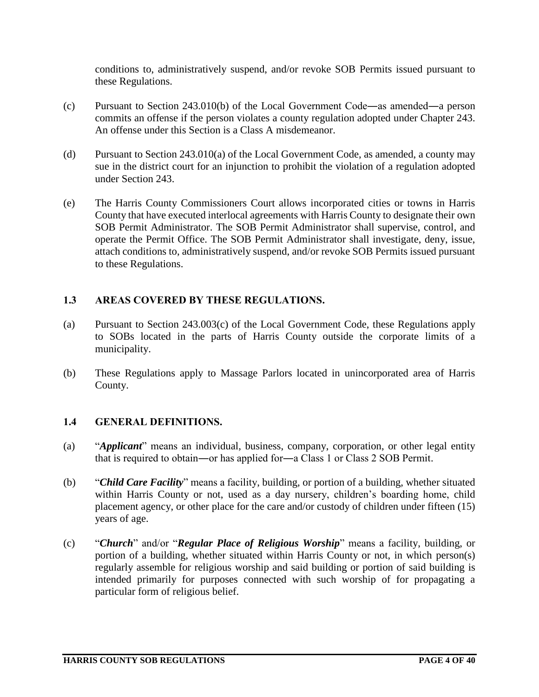conditions to, administratively suspend, and/or revoke SOB Permits issued pursuant to these Regulations.

- (c) Pursuant to Section 243.010(b) of the Local Government Code―as amended―a person commits an offense if the person violates a county regulation adopted under Chapter 243. An offense under this Section is a Class A misdemeanor.
- (d) Pursuant to Section 243.010(a) of the Local Government Code, as amended, a county may sue in the district court for an injunction to prohibit the violation of a regulation adopted under Section 243.
- (e) The Harris County Commissioners Court allows incorporated cities or towns in Harris County that have executed interlocal agreements with Harris County to designate their own SOB Permit Administrator. The SOB Permit Administrator shall supervise, control, and operate the Permit Office. The SOB Permit Administrator shall investigate, deny, issue, attach conditions to, administratively suspend, and/or revoke SOB Permits issued pursuant to these Regulations.

# **1.3 AREAS COVERED BY THESE REGULATIONS.**

- (a) Pursuant to Section 243.003(c) of the Local Government Code, these Regulations apply to SOBs located in the parts of Harris County outside the corporate limits of a municipality.
- (b) These Regulations apply to Massage Parlors located in unincorporated area of Harris County.

# **1.4 GENERAL DEFINITIONS.**

- (a) "*Applicant*" means an individual, business, company, corporation, or other legal entity that is required to obtain―or has applied for―a Class 1 or Class 2 SOB Permit.
- (b) "*Child Care Facility*" means a facility, building, or portion of a building, whether situated within Harris County or not, used as a day nursery, children's boarding home, child placement agency, or other place for the care and/or custody of children under fifteen (15) years of age.
- (c) "*Church*" and/or "*Regular Place of Religious Worship*" means a facility, building, or portion of a building, whether situated within Harris County or not, in which person(s) regularly assemble for religious worship and said building or portion of said building is intended primarily for purposes connected with such worship of for propagating a particular form of religious belief.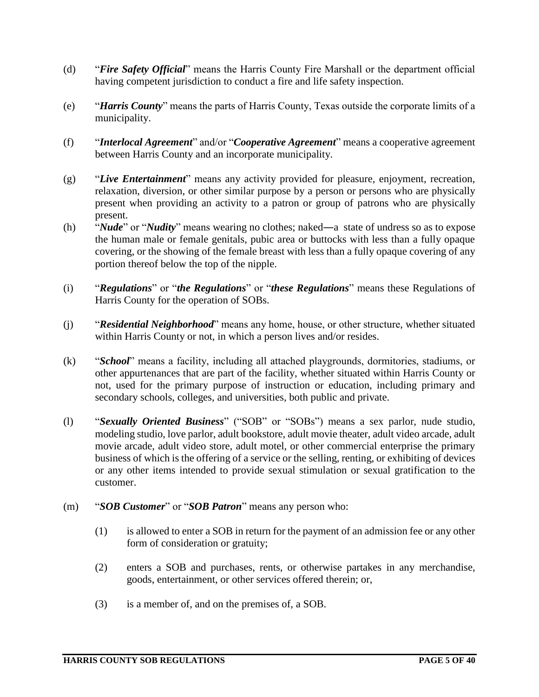- (d) "*Fire Safety Official*" means the Harris County Fire Marshall or the department official having competent jurisdiction to conduct a fire and life safety inspection.
- (e) "*Harris County*" means the parts of Harris County, Texas outside the corporate limits of a municipality.
- (f) "*Interlocal Agreement*" and/or "*Cooperative Agreement*" means a cooperative agreement between Harris County and an incorporate municipality.
- (g) "*Live Entertainment*" means any activity provided for pleasure, enjoyment, recreation, relaxation, diversion, or other similar purpose by a person or persons who are physically present when providing an activity to a patron or group of patrons who are physically present.
- (h) "*Nude*" or "*Nudity*" means wearing no clothes; naked―a state of undress so as to expose the human male or female genitals, pubic area or buttocks with less than a fully opaque covering, or the showing of the female breast with less than a fully opaque covering of any portion thereof below the top of the nipple.
- (i) "*Regulations*" or "*the Regulations*" or "*these Regulations*" means these Regulations of Harris County for the operation of SOBs.
- (j) "*Residential Neighborhood*" means any home, house, or other structure, whether situated within Harris County or not, in which a person lives and/or resides.
- (k) "*School*" means a facility, including all attached playgrounds, dormitories, stadiums, or other appurtenances that are part of the facility, whether situated within Harris County or not, used for the primary purpose of instruction or education, including primary and secondary schools, colleges, and universities, both public and private.
- (l) "*Sexually Oriented Business*" ("SOB" or "SOBs") means a sex parlor, nude studio, modeling studio, love parlor, adult bookstore, adult movie theater, adult video arcade, adult movie arcade, adult video store, adult motel, or other commercial enterprise the primary business of which is the offering of a service or the selling, renting, or exhibiting of devices or any other items intended to provide sexual stimulation or sexual gratification to the customer.
- (m) "*SOB Customer*" or "*SOB Patron*" means any person who:
	- (1) is allowed to enter a SOB in return for the payment of an admission fee or any other form of consideration or gratuity;
	- (2) enters a SOB and purchases, rents, or otherwise partakes in any merchandise, goods, entertainment, or other services offered therein; or,
	- (3) is a member of, and on the premises of, a SOB.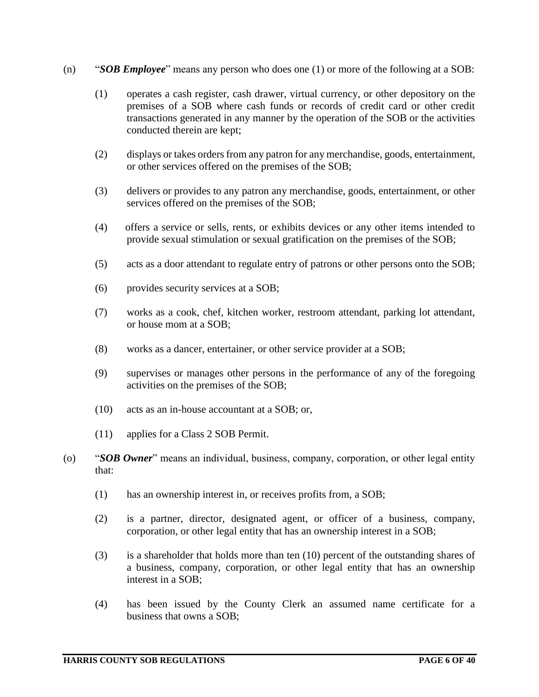- (n) "*SOB Employee*" means any person who does one (1) or more of the following at a SOB:
	- (1) operates a cash register, cash drawer, virtual currency, or other depository on the premises of a SOB where cash funds or records of credit card or other credit transactions generated in any manner by the operation of the SOB or the activities conducted therein are kept;
	- (2) displays or takes orders from any patron for any merchandise, goods, entertainment, or other services offered on the premises of the SOB;
	- (3) delivers or provides to any patron any merchandise, goods, entertainment, or other services offered on the premises of the SOB;
	- (4) offers a service or sells, rents, or exhibits devices or any other items intended to provide sexual stimulation or sexual gratification on the premises of the SOB;
	- (5) acts as a door attendant to regulate entry of patrons or other persons onto the SOB;
	- (6) provides security services at a SOB;
	- (7) works as a cook, chef, kitchen worker, restroom attendant, parking lot attendant, or house mom at a SOB;
	- (8) works as a dancer, entertainer, or other service provider at a SOB;
	- (9) supervises or manages other persons in the performance of any of the foregoing activities on the premises of the SOB;
	- (10) acts as an in-house accountant at a SOB; or,
	- (11) applies for a Class 2 SOB Permit.
- (o) "*SOB Owner*" means an individual, business, company, corporation, or other legal entity that:
	- (1) has an ownership interest in, or receives profits from, a SOB;
	- (2) is a partner, director, designated agent, or officer of a business, company, corporation, or other legal entity that has an ownership interest in a SOB;
	- (3) is a shareholder that holds more than ten (10) percent of the outstanding shares of a business, company, corporation, or other legal entity that has an ownership interest in a SOB;
	- (4) has been issued by the County Clerk an assumed name certificate for a business that owns a SOB;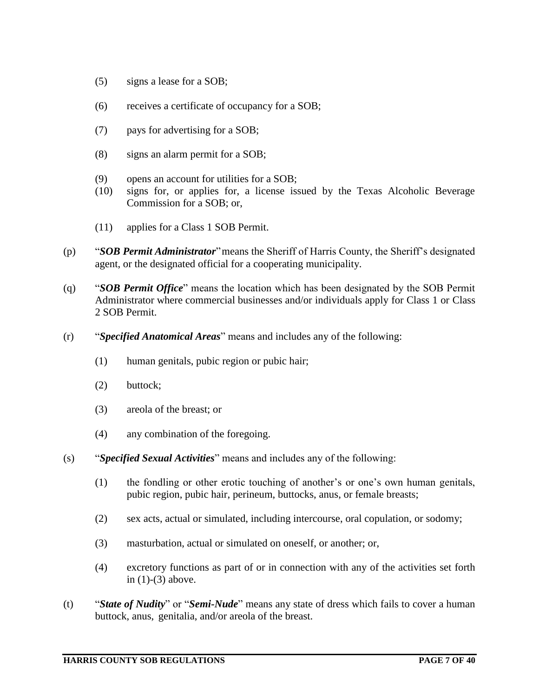- (5) signs a lease for a SOB;
- (6) receives a certificate of occupancy for a SOB;
- (7) pays for advertising for a SOB;
- (8) signs an alarm permit for a SOB;
- (9) opens an account for utilities for a SOB;
- (10) signs for, or applies for, a license issued by the Texas Alcoholic Beverage Commission for a SOB; or,
- (11) applies for a Class 1 SOB Permit.
- (p) "*SOB Permit Administrator*"means the Sheriff of Harris County, the Sheriff's designated agent, or the designated official for a cooperating municipality.
- (q) "*SOB Permit Office*" means the location which has been designated by the SOB Permit Administrator where commercial businesses and/or individuals apply for Class 1 or Class 2 SOB Permit.
- (r) "*Specified Anatomical Areas*" means and includes any of the following:
	- (1) human genitals, pubic region or pubic hair;
	- (2) buttock;
	- (3) areola of the breast; or
	- (4) any combination of the foregoing.
- (s) "*Specified Sexual Activities*" means and includes any of the following:
	- (1) the fondling or other erotic touching of another's or one's own human genitals, pubic region, pubic hair, perineum, buttocks, anus, or female breasts;
	- (2) sex acts, actual or simulated, including intercourse, oral copulation, or sodomy;
	- (3) masturbation, actual or simulated on oneself, or another; or,
	- (4) excretory functions as part of or in connection with any of the activities set forth in (1)-(3) above.
- (t) "*State of Nudity*" or "*Semi-Nude*" means any state of dress which fails to cover a human buttock, anus, genitalia, and/or areola of the breast.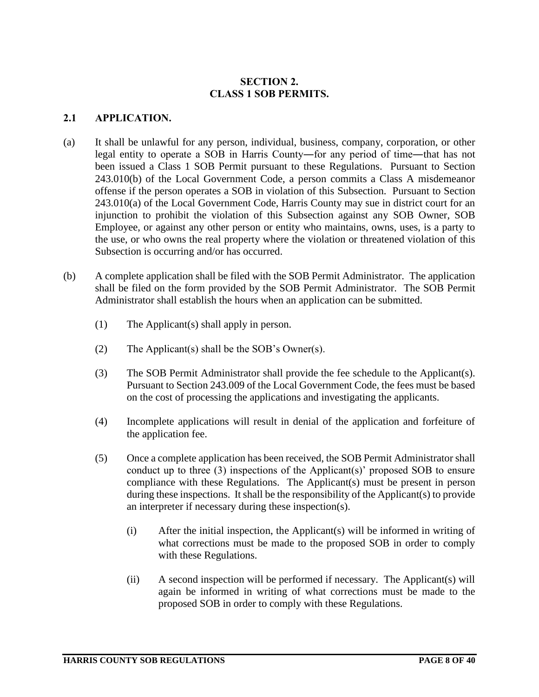# **SECTION 2. CLASS 1 SOB PERMITS.**

## **2.1 APPLICATION.**

- (a) It shall be unlawful for any person, individual, business, company, corporation, or other legal entity to operate a SOB in Harris County―for any period of time―that has not been issued a Class 1 SOB Permit pursuant to these Regulations. Pursuant to Section 243.010(b) of the Local Government Code, a person commits a Class A misdemeanor offense if the person operates a SOB in violation of this Subsection. Pursuant to Section 243.010(a) of the Local Government Code, Harris County may sue in district court for an injunction to prohibit the violation of this Subsection against any SOB Owner, SOB Employee, or against any other person or entity who maintains, owns, uses, is a party to the use, or who owns the real property where the violation or threatened violation of this Subsection is occurring and/or has occurred.
- (b) A complete application shall be filed with the SOB Permit Administrator. The application shall be filed on the form provided by the SOB Permit Administrator. The SOB Permit Administrator shall establish the hours when an application can be submitted.
	- (1) The Applicant(s) shall apply in person.
	- (2) The Applicant(s) shall be the SOB's Owner(s).
	- (3) The SOB Permit Administrator shall provide the fee schedule to the Applicant(s). Pursuant to Section 243.009 of the Local Government Code, the fees must be based on the cost of processing the applications and investigating the applicants.
	- (4) Incomplete applications will result in denial of the application and forfeiture of the application fee.
	- (5) Once a complete application has been received, the SOB Permit Administrator shall conduct up to three (3) inspections of the Applicant(s)' proposed SOB to ensure compliance with these Regulations. The Applicant(s) must be present in person during these inspections. It shall be the responsibility of the Applicant(s) to provide an interpreter if necessary during these inspection(s).
		- (i) After the initial inspection, the Applicant(s) will be informed in writing of what corrections must be made to the proposed SOB in order to comply with these Regulations.
		- (ii) A second inspection will be performed if necessary. The Applicant(s) will again be informed in writing of what corrections must be made to the proposed SOB in order to comply with these Regulations.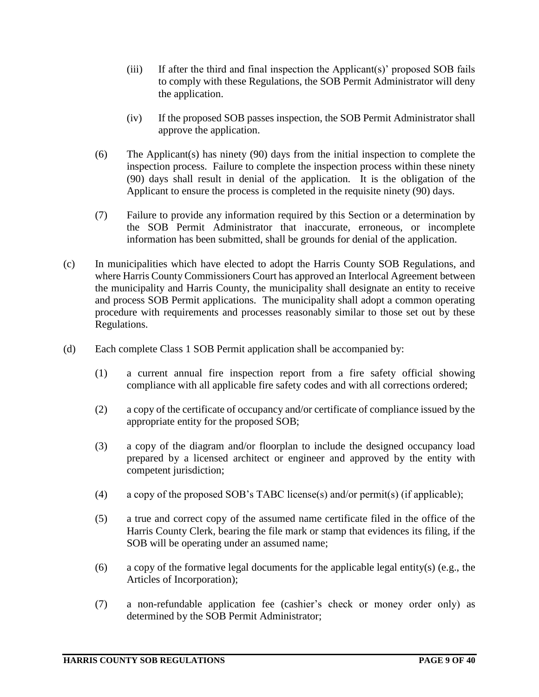- (iii) If after the third and final inspection the Applicant(s)' proposed SOB fails to comply with these Regulations, the SOB Permit Administrator will deny the application.
- (iv) If the proposed SOB passes inspection, the SOB Permit Administrator shall approve the application.
- (6) The Applicant(s) has ninety (90) days from the initial inspection to complete the inspection process. Failure to complete the inspection process within these ninety (90) days shall result in denial of the application. It is the obligation of the Applicant to ensure the process is completed in the requisite ninety (90) days.
- (7) Failure to provide any information required by this Section or a determination by the SOB Permit Administrator that inaccurate, erroneous, or incomplete information has been submitted, shall be grounds for denial of the application.
- (c) In municipalities which have elected to adopt the Harris County SOB Regulations, and where Harris County Commissioners Court has approved an Interlocal Agreement between the municipality and Harris County, the municipality shall designate an entity to receive and process SOB Permit applications. The municipality shall adopt a common operating procedure with requirements and processes reasonably similar to those set out by these Regulations.
- (d) Each complete Class 1 SOB Permit application shall be accompanied by:
	- (1) a current annual fire inspection report from a fire safety official showing compliance with all applicable fire safety codes and with all corrections ordered;
	- (2) a copy of the certificate of occupancy and/or certificate of compliance issued by the appropriate entity for the proposed SOB;
	- (3) a copy of the diagram and/or floorplan to include the designed occupancy load prepared by a licensed architect or engineer and approved by the entity with competent jurisdiction;
	- (4) a copy of the proposed SOB's TABC license(s) and/or permit(s) (if applicable);
	- (5) a true and correct copy of the assumed name certificate filed in the office of the Harris County Clerk, bearing the file mark or stamp that evidences its filing, if the SOB will be operating under an assumed name;
	- (6) a copy of the formative legal documents for the applicable legal entity(s) (e.g., the Articles of Incorporation);
	- (7) a non-refundable application fee (cashier's check or money order only) as determined by the SOB Permit Administrator;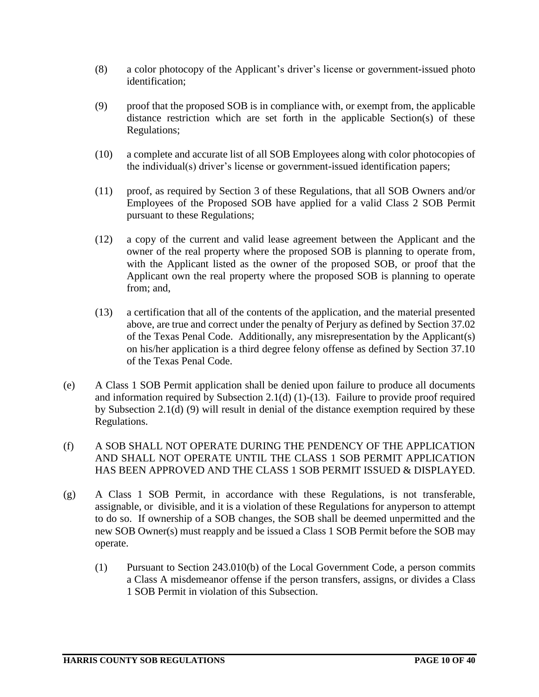- (8) a color photocopy of the Applicant's driver's license or government-issued photo identification;
- (9) proof that the proposed SOB is in compliance with, or exempt from, the applicable distance restriction which are set forth in the applicable Section(s) of these Regulations;
- (10) a complete and accurate list of all SOB Employees along with color photocopies of the individual(s) driver's license or government-issued identification papers;
- (11) proof, as required by Section 3 of these Regulations, that all SOB Owners and/or Employees of the Proposed SOB have applied for a valid Class 2 SOB Permit pursuant to these Regulations;
- (12) a copy of the current and valid lease agreement between the Applicant and the owner of the real property where the proposed SOB is planning to operate from, with the Applicant listed as the owner of the proposed SOB, or proof that the Applicant own the real property where the proposed SOB is planning to operate from; and,
- (13) a certification that all of the contents of the application, and the material presented above, are true and correct under the penalty of Perjury as defined by Section 37.02 of the Texas Penal Code. Additionally, any misrepresentation by the Applicant(s) on his/her application is a third degree felony offense as defined by Section 37.10 of the Texas Penal Code.
- (e) A Class 1 SOB Permit application shall be denied upon failure to produce all documents and information required by Subsection 2.1(d) (1)-(13). Failure to provide proof required by Subsection 2.1(d) (9) will result in denial of the distance exemption required by these Regulations.
- (f) A SOB SHALL NOT OPERATE DURING THE PENDENCY OF THE APPLICATION AND SHALL NOT OPERATE UNTIL THE CLASS 1 SOB PERMIT APPLICATION HAS BEEN APPROVED AND THE CLASS 1 SOB PERMIT ISSUED & DISPLAYED.
- (g) A Class 1 SOB Permit, in accordance with these Regulations, is not transferable, assignable, or divisible, and it is a violation of these Regulations for anyperson to attempt to do so. If ownership of a SOB changes, the SOB shall be deemed unpermitted and the new SOB Owner(s) must reapply and be issued a Class 1 SOB Permit before the SOB may operate.
	- (1) Pursuant to Section 243.010(b) of the Local Government Code, a person commits a Class A misdemeanor offense if the person transfers, assigns, or divides a Class 1 SOB Permit in violation of this Subsection.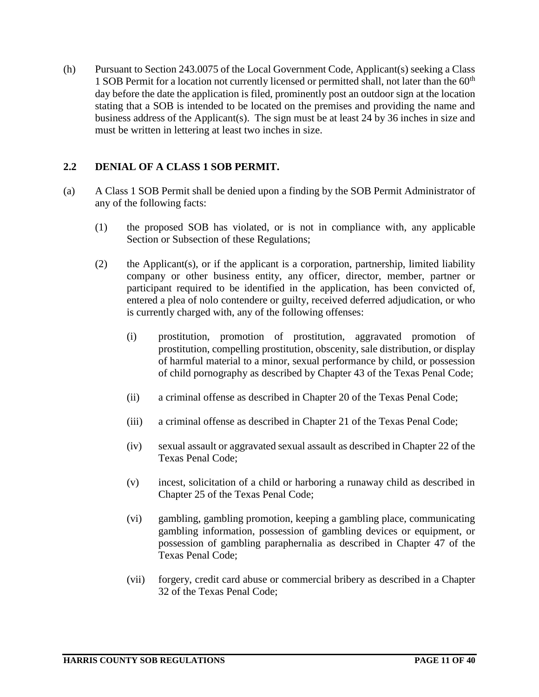(h) Pursuant to Section 243.0075 of the Local Government Code, Applicant(s) seeking a Class 1 SOB Permit for a location not currently licensed or permitted shall, not later than the  $60<sup>th</sup>$ day before the date the application is filed, prominently post an outdoor sign at the location stating that a SOB is intended to be located on the premises and providing the name and business address of the Applicant(s). The sign must be at least 24 by 36 inches in size and must be written in lettering at least two inches in size.

# **2.2 DENIAL OF A CLASS 1 SOB PERMIT.**

- (a) A Class 1 SOB Permit shall be denied upon a finding by the SOB Permit Administrator of any of the following facts:
	- (1) the proposed SOB has violated, or is not in compliance with, any applicable Section or Subsection of these Regulations;
	- (2) the Applicant(s), or if the applicant is a corporation, partnership, limited liability company or other business entity, any officer, director, member, partner or participant required to be identified in the application, has been convicted of, entered a plea of nolo contendere or guilty, received deferred adjudication, or who is currently charged with, any of the following offenses:
		- (i) prostitution, promotion of prostitution, aggravated promotion of prostitution, compelling prostitution, obscenity, sale distribution, or display of harmful material to a minor, sexual performance by child, or possession of child pornography as described by Chapter 43 of the Texas Penal Code;
		- (ii) a criminal offense as described in Chapter 20 of the Texas Penal Code;
		- (iii) a criminal offense as described in Chapter 21 of the Texas Penal Code;
		- (iv) sexual assault or aggravated sexual assault as described in Chapter 22 of the Texas Penal Code;
		- (v) incest, solicitation of a child or harboring a runaway child as described in Chapter 25 of the Texas Penal Code;
		- (vi) gambling, gambling promotion, keeping a gambling place, communicating gambling information, possession of gambling devices or equipment, or possession of gambling paraphernalia as described in Chapter 47 of the Texas Penal Code;
		- (vii) forgery, credit card abuse or commercial bribery as described in a Chapter 32 of the Texas Penal Code;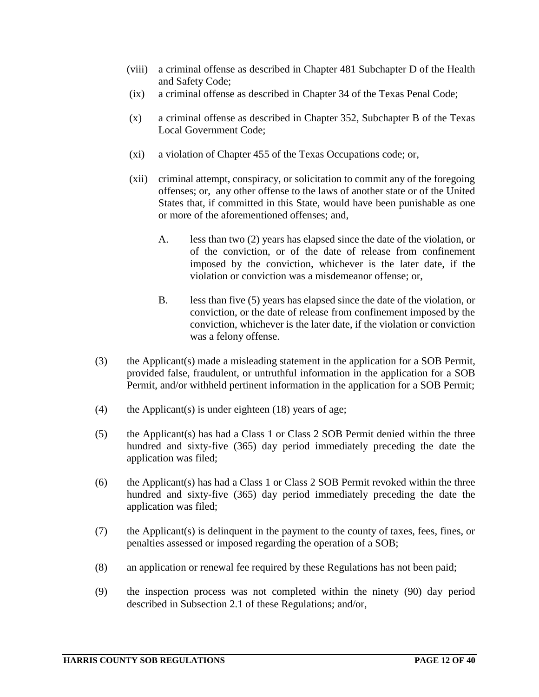- (viii) a criminal offense as described in Chapter 481 Subchapter D of the Health and Safety Code;
- (ix) a criminal offense as described in Chapter 34 of the Texas Penal Code;
- (x) a criminal offense as described in Chapter 352, Subchapter B of the Texas Local Government Code;
- (xi) a violation of Chapter 455 of the Texas Occupations code; or,
- (xii) criminal attempt, conspiracy, or solicitation to commit any of the foregoing offenses; or, any other offense to the laws of another state or of the United States that, if committed in this State, would have been punishable as one or more of the aforementioned offenses; and,
	- A. less than two (2) years has elapsed since the date of the violation, or of the conviction, or of the date of release from confinement imposed by the conviction, whichever is the later date, if the violation or conviction was a misdemeanor offense; or,
	- B. less than five (5) years has elapsed since the date of the violation, or conviction, or the date of release from confinement imposed by the conviction, whichever is the later date, if the violation or conviction was a felony offense.
- (3) the Applicant(s) made a misleading statement in the application for a SOB Permit, provided false, fraudulent, or untruthful information in the application for a SOB Permit, and/or withheld pertinent information in the application for a SOB Permit;
- (4) the Applicant(s) is under eighteen  $(18)$  years of age;
- (5) the Applicant(s) has had a Class 1 or Class 2 SOB Permit denied within the three hundred and sixty-five (365) day period immediately preceding the date the application was filed;
- (6) the Applicant(s) has had a Class 1 or Class 2 SOB Permit revoked within the three hundred and sixty-five (365) day period immediately preceding the date the application was filed;
- (7) the Applicant(s) is delinquent in the payment to the county of taxes, fees, fines, or penalties assessed or imposed regarding the operation of a SOB;
- (8) an application or renewal fee required by these Regulations has not been paid;
- (9) the inspection process was not completed within the ninety (90) day period described in Subsection 2.1 of these Regulations; and/or,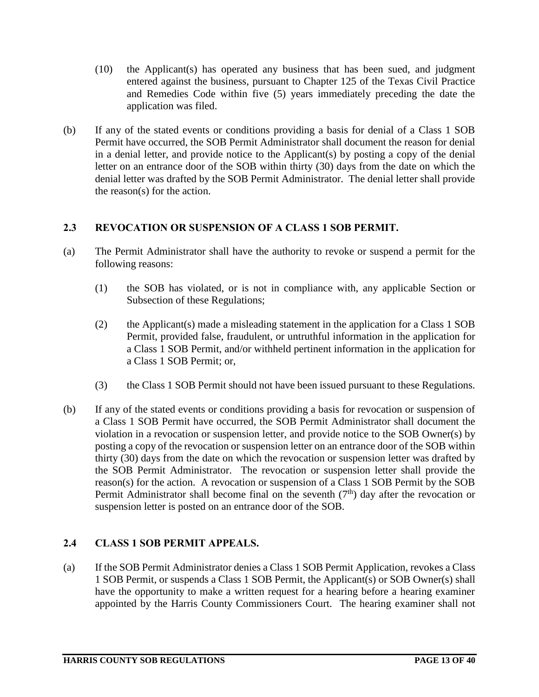- (10) the Applicant(s) has operated any business that has been sued, and judgment entered against the business, pursuant to Chapter 125 of the Texas Civil Practice and Remedies Code within five (5) years immediately preceding the date the application was filed.
- (b) If any of the stated events or conditions providing a basis for denial of a Class 1 SOB Permit have occurred, the SOB Permit Administrator shall document the reason for denial in a denial letter, and provide notice to the Applicant(s) by posting a copy of the denial letter on an entrance door of the SOB within thirty (30) days from the date on which the denial letter was drafted by the SOB Permit Administrator. The denial letter shall provide the reason(s) for the action.

# **2.3 REVOCATION OR SUSPENSION OF A CLASS 1 SOB PERMIT.**

- (a) The Permit Administrator shall have the authority to revoke or suspend a permit for the following reasons:
	- (1) the SOB has violated, or is not in compliance with, any applicable Section or Subsection of these Regulations;
	- (2) the Applicant(s) made a misleading statement in the application for a Class 1 SOB Permit, provided false, fraudulent, or untruthful information in the application for a Class 1 SOB Permit, and/or withheld pertinent information in the application for a Class 1 SOB Permit; or,
	- (3) the Class 1 SOB Permit should not have been issued pursuant to these Regulations.
- (b) If any of the stated events or conditions providing a basis for revocation or suspension of a Class 1 SOB Permit have occurred, the SOB Permit Administrator shall document the violation in a revocation or suspension letter, and provide notice to the SOB Owner(s) by posting a copy of the revocation or suspension letter on an entrance door of the SOB within thirty (30) days from the date on which the revocation or suspension letter was drafted by the SOB Permit Administrator. The revocation or suspension letter shall provide the reason(s) for the action. A revocation or suspension of a Class 1 SOB Permit by the SOB Permit Administrator shall become final on the seventh  $(7<sup>th</sup>)$  day after the revocation or suspension letter is posted on an entrance door of the SOB.

# **2.4 CLASS 1 SOB PERMIT APPEALS.**

(a) If the SOB Permit Administrator denies a Class 1 SOB Permit Application, revokes a Class 1 SOB Permit, or suspends a Class 1 SOB Permit, the Applicant(s) or SOB Owner(s) shall have the opportunity to make a written request for a hearing before a hearing examiner appointed by the Harris County Commissioners Court. The hearing examiner shall not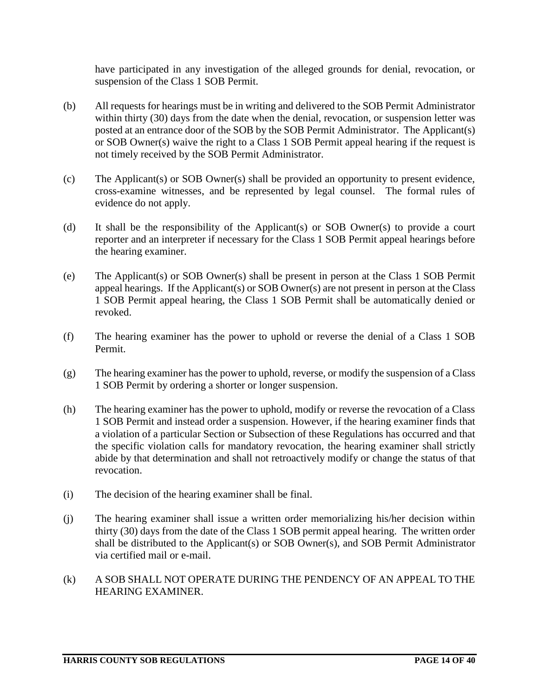have participated in any investigation of the alleged grounds for denial, revocation, or suspension of the Class 1 SOB Permit.

- (b) All requests for hearings must be in writing and delivered to the SOB Permit Administrator within thirty (30) days from the date when the denial, revocation, or suspension letter was posted at an entrance door of the SOB by the SOB Permit Administrator. The Applicant(s) or SOB Owner(s) waive the right to a Class 1 SOB Permit appeal hearing if the request is not timely received by the SOB Permit Administrator.
- (c) The Applicant(s) or SOB Owner(s) shall be provided an opportunity to present evidence, cross-examine witnesses, and be represented by legal counsel. The formal rules of evidence do not apply.
- (d) It shall be the responsibility of the Applicant(s) or SOB Owner(s) to provide a court reporter and an interpreter if necessary for the Class 1 SOB Permit appeal hearings before the hearing examiner.
- (e) The Applicant(s) or SOB Owner(s) shall be present in person at the Class 1 SOB Permit appeal hearings. If the Applicant(s) or SOB Owner(s) are not present in person at the Class 1 SOB Permit appeal hearing, the Class 1 SOB Permit shall be automatically denied or revoked.
- (f) The hearing examiner has the power to uphold or reverse the denial of a Class 1 SOB Permit.
- (g) The hearing examiner has the power to uphold, reverse, or modify the suspension of a Class 1 SOB Permit by ordering a shorter or longer suspension.
- (h) The hearing examiner has the power to uphold, modify or reverse the revocation of a Class 1 SOB Permit and instead order a suspension. However, if the hearing examiner finds that a violation of a particular Section or Subsection of these Regulations has occurred and that the specific violation calls for mandatory revocation, the hearing examiner shall strictly abide by that determination and shall not retroactively modify or change the status of that revocation.
- (i) The decision of the hearing examiner shall be final.
- (j) The hearing examiner shall issue a written order memorializing his/her decision within thirty (30) days from the date of the Class 1 SOB permit appeal hearing. The written order shall be distributed to the Applicant(s) or SOB Owner(s), and SOB Permit Administrator via certified mail or e-mail.
- (k) A SOB SHALL NOT OPERATE DURING THE PENDENCY OF AN APPEAL TO THE HEARING EXAMINER.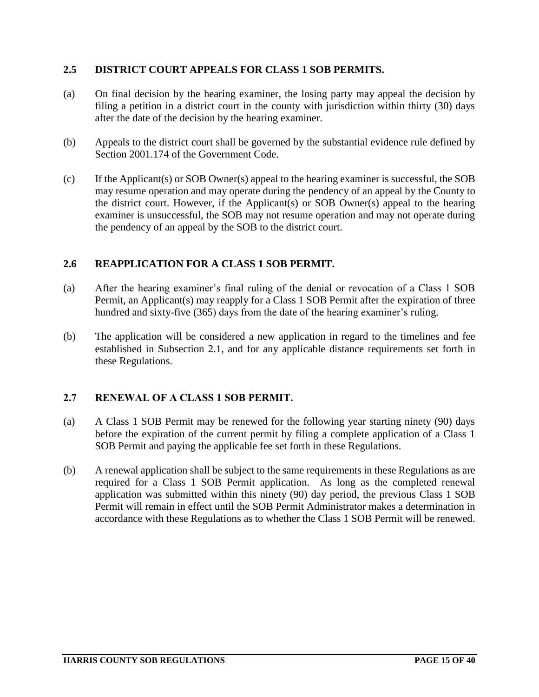# **2.5 DISTRICT COURT APPEALS FOR CLASS 1 SOB PERMITS.**

- (a) On final decision by the hearing examiner, the losing party may appeal the decision by filing a petition in a district court in the county with jurisdiction within thirty (30) days after the date of the decision by the hearing examiner.
- (b) Appeals to the district court shall be governed by the substantial evidence rule defined by Section 2001.174 of the Government Code.
- (c) If the Applicant(s) or SOB Owner(s) appeal to the hearing examiner is successful, the SOB may resume operation and may operate during the pendency of an appeal by the County to the district court. However, if the Applicant(s) or SOB Owner(s) appeal to the hearing examiner is unsuccessful, the SOB may not resume operation and may not operate during the pendency of an appeal by the SOB to the district court.

## **2.6 REAPPLICATION FOR A CLASS 1 SOB PERMIT.**

- (a) After the hearing examiner's final ruling of the denial or revocation of a Class 1 SOB Permit, an Applicant(s) may reapply for a Class 1 SOB Permit after the expiration of three hundred and sixty-five (365) days from the date of the hearing examiner's ruling.
- (b) The application will be considered a new application in regard to the timelines and fee established in Subsection 2.1, and for any applicable distance requirements set forth in these Regulations.

#### **2.7 RENEWAL OF A CLASS 1 SOB PERMIT.**

- (a) A Class 1 SOB Permit may be renewed for the following year starting ninety (90) days before the expiration of the current permit by filing a complete application of a Class 1 SOB Permit and paying the applicable fee set forth in these Regulations.
- (b) A renewal application shall be subject to the same requirements in these Regulations as are required for a Class 1 SOB Permit application. As long as the completed renewal application was submitted within this ninety (90) day period, the previous Class 1 SOB Permit will remain in effect until the SOB Permit Administrator makes a determination in accordance with these Regulations as to whether the Class 1 SOB Permit will be renewed.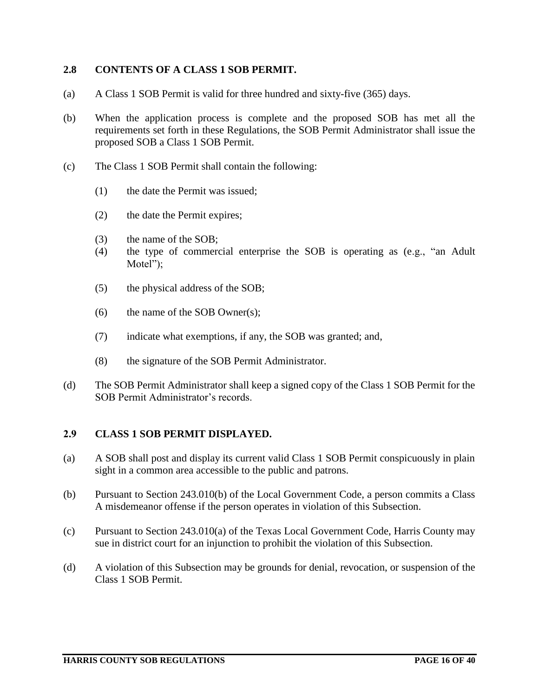## **2.8 CONTENTS OF A CLASS 1 SOB PERMIT.**

- (a) A Class 1 SOB Permit is valid for three hundred and sixty-five (365) days.
- (b) When the application process is complete and the proposed SOB has met all the requirements set forth in these Regulations, the SOB Permit Administrator shall issue the proposed SOB a Class 1 SOB Permit.
- (c) The Class 1 SOB Permit shall contain the following:
	- (1) the date the Permit was issued;
	- (2) the date the Permit expires;
	- (3) the name of the SOB;
	- (4) the type of commercial enterprise the SOB is operating as (e.g., "an Adult Motel");
	- (5) the physical address of the SOB;
	- $(6)$  the name of the SOB Owner(s);
	- (7) indicate what exemptions, if any, the SOB was granted; and,
	- (8) the signature of the SOB Permit Administrator.
- (d) The SOB Permit Administrator shall keep a signed copy of the Class 1 SOB Permit for the SOB Permit Administrator's records.

#### **2.9 CLASS 1 SOB PERMIT DISPLAYED.**

- (a) A SOB shall post and display its current valid Class 1 SOB Permit conspicuously in plain sight in a common area accessible to the public and patrons.
- (b) Pursuant to Section 243.010(b) of the Local Government Code, a person commits a Class A misdemeanor offense if the person operates in violation of this Subsection.
- (c) Pursuant to Section 243.010(a) of the Texas Local Government Code, Harris County may sue in district court for an injunction to prohibit the violation of this Subsection.
- (d) A violation of this Subsection may be grounds for denial, revocation, or suspension of the Class 1 SOB Permit.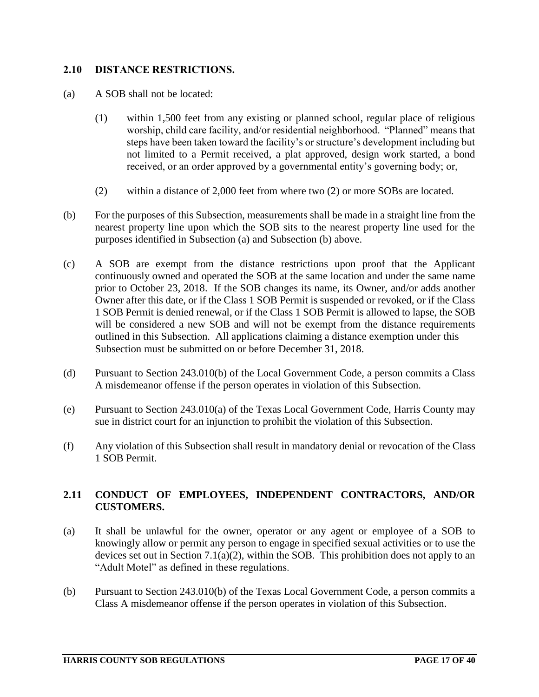## **2.10 DISTANCE RESTRICTIONS.**

- (a) A SOB shall not be located:
	- (1) within 1,500 feet from any existing or planned school, regular place of religious worship, child care facility, and/or residential neighborhood. "Planned" means that steps have been taken toward the facility's or structure's development including but not limited to a Permit received, a plat approved, design work started, a bond received, or an order approved by a governmental entity's governing body; or,
	- (2) within a distance of 2,000 feet from where two (2) or more SOBs are located.
- (b) For the purposes of this Subsection, measurements shall be made in a straight line from the nearest property line upon which the SOB sits to the nearest property line used for the purposes identified in Subsection (a) and Subsection (b) above.
- (c) A SOB are exempt from the distance restrictions upon proof that the Applicant continuously owned and operated the SOB at the same location and under the same name prior to October 23, 2018. If the SOB changes its name, its Owner, and/or adds another Owner after this date, or if the Class 1 SOB Permit is suspended or revoked, or if the Class 1 SOB Permit is denied renewal, or if the Class 1 SOB Permit is allowed to lapse, the SOB will be considered a new SOB and will not be exempt from the distance requirements outlined in this Subsection. All applications claiming a distance exemption under this Subsection must be submitted on or before December 31, 2018.
- (d) Pursuant to Section 243.010(b) of the Local Government Code, a person commits a Class A misdemeanor offense if the person operates in violation of this Subsection.
- (e) Pursuant to Section 243.010(a) of the Texas Local Government Code, Harris County may sue in district court for an injunction to prohibit the violation of this Subsection.
- (f) Any violation of this Subsection shall result in mandatory denial or revocation of the Class 1 SOB Permit.

## **2.11 CONDUCT OF EMPLOYEES, INDEPENDENT CONTRACTORS, AND/OR CUSTOMERS.**

- (a) It shall be unlawful for the owner, operator or any agent or employee of a SOB to knowingly allow or permit any person to engage in specified sexual activities or to use the devices set out in Section 7.1(a)(2), within the SOB. This prohibition does not apply to an "Adult Motel" as defined in these regulations.
- (b) Pursuant to Section 243.010(b) of the Texas Local Government Code, a person commits a Class A misdemeanor offense if the person operates in violation of this Subsection.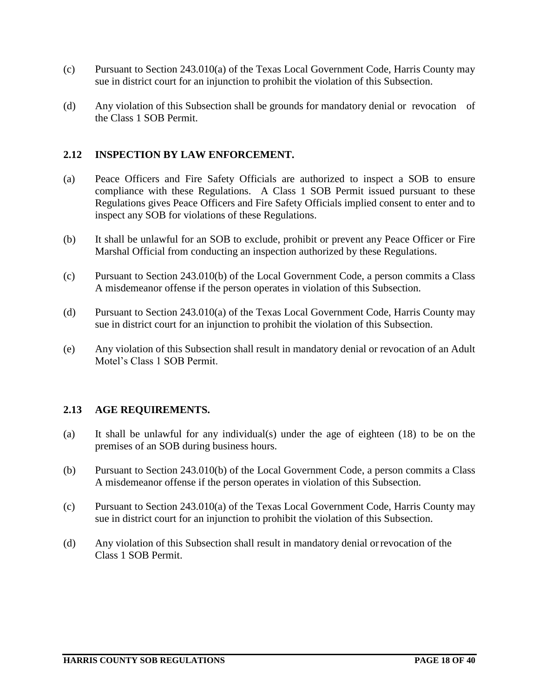- (c) Pursuant to Section 243.010(a) of the Texas Local Government Code, Harris County may sue in district court for an injunction to prohibit the violation of this Subsection.
- (d) Any violation of this Subsection shall be grounds for mandatory denial or revocation of the Class 1 SOB Permit.

## **2.12 INSPECTION BY LAW ENFORCEMENT.**

- (a) Peace Officers and Fire Safety Officials are authorized to inspect a SOB to ensure compliance with these Regulations. A Class 1 SOB Permit issued pursuant to these Regulations gives Peace Officers and Fire Safety Officials implied consent to enter and to inspect any SOB for violations of these Regulations.
- (b) It shall be unlawful for an SOB to exclude, prohibit or prevent any Peace Officer or Fire Marshal Official from conducting an inspection authorized by these Regulations.
- (c) Pursuant to Section 243.010(b) of the Local Government Code, a person commits a Class A misdemeanor offense if the person operates in violation of this Subsection.
- (d) Pursuant to Section 243.010(a) of the Texas Local Government Code, Harris County may sue in district court for an injunction to prohibit the violation of this Subsection.
- (e) Any violation of this Subsection shall result in mandatory denial or revocation of an Adult Motel's Class 1 SOB Permit.

#### **2.13 AGE REQUIREMENTS.**

- (a) It shall be unlawful for any individual(s) under the age of eighteen (18) to be on the premises of an SOB during business hours.
- (b) Pursuant to Section 243.010(b) of the Local Government Code, a person commits a Class A misdemeanor offense if the person operates in violation of this Subsection.
- (c) Pursuant to Section 243.010(a) of the Texas Local Government Code, Harris County may sue in district court for an injunction to prohibit the violation of this Subsection.
- (d) Any violation of this Subsection shall result in mandatory denial orrevocation of the Class 1 SOB Permit.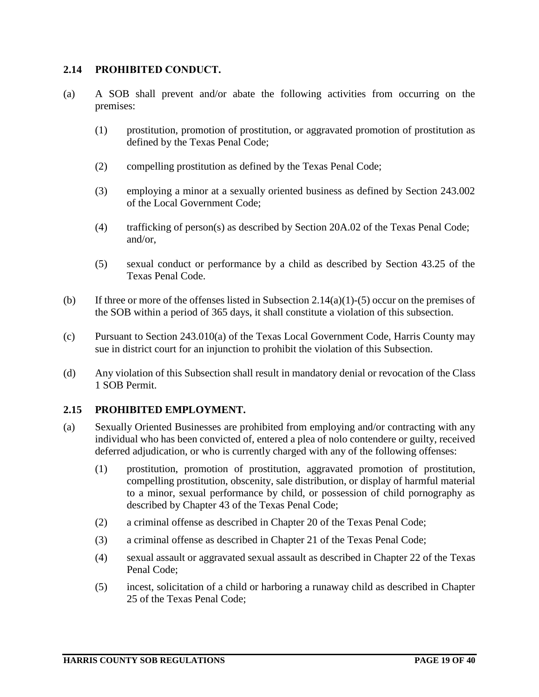## **2.14 PROHIBITED CONDUCT.**

- (a) A SOB shall prevent and/or abate the following activities from occurring on the premises:
	- (1) prostitution, promotion of prostitution, or aggravated promotion of prostitution as defined by the Texas Penal Code;
	- (2) compelling prostitution as defined by the Texas Penal Code;
	- (3) employing a minor at a sexually oriented business as defined by Section 243.002 of the Local Government Code;
	- (4) trafficking of person(s) as described by Section 20A.02 of the Texas Penal Code; and/or,
	- (5) sexual conduct or performance by a child as described by Section 43.25 of the Texas Penal Code.
- (b) If three or more of the offenses listed in Subsection 2.14(a)(1)-(5) occur on the premises of the SOB within a period of 365 days, it shall constitute a violation of this subsection.
- (c) Pursuant to Section 243.010(a) of the Texas Local Government Code, Harris County may sue in district court for an injunction to prohibit the violation of this Subsection.
- (d) Any violation of this Subsection shall result in mandatory denial or revocation of the Class 1 SOB Permit.

#### **2.15 PROHIBITED EMPLOYMENT.**

- (a) Sexually Oriented Businesses are prohibited from employing and/or contracting with any individual who has been convicted of, entered a plea of nolo contendere or guilty, received deferred adjudication, or who is currently charged with any of the following offenses:
	- (1) prostitution, promotion of prostitution, aggravated promotion of prostitution, compelling prostitution, obscenity, sale distribution, or display of harmful material to a minor, sexual performance by child, or possession of child pornography as described by Chapter 43 of the Texas Penal Code;
	- (2) a criminal offense as described in Chapter 20 of the Texas Penal Code;
	- (3) a criminal offense as described in Chapter 21 of the Texas Penal Code;
	- (4) sexual assault or aggravated sexual assault as described in Chapter 22 of the Texas Penal Code;
	- (5) incest, solicitation of a child or harboring a runaway child as described in Chapter 25 of the Texas Penal Code;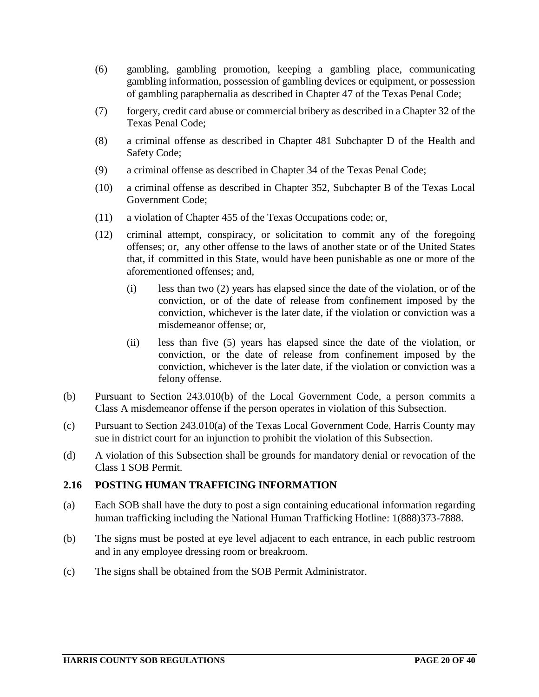- (6) gambling, gambling promotion, keeping a gambling place, communicating gambling information, possession of gambling devices or equipment, or possession of gambling paraphernalia as described in Chapter 47 of the Texas Penal Code;
- (7) forgery, credit card abuse or commercial bribery as described in a Chapter 32 of the Texas Penal Code;
- (8) a criminal offense as described in Chapter 481 Subchapter D of the Health and Safety Code;
- (9) a criminal offense as described in Chapter 34 of the Texas Penal Code;
- (10) a criminal offense as described in Chapter 352, Subchapter B of the Texas Local Government Code;
- (11) a violation of Chapter 455 of the Texas Occupations code; or,
- (12) criminal attempt, conspiracy, or solicitation to commit any of the foregoing offenses; or, any other offense to the laws of another state or of the United States that, if committed in this State, would have been punishable as one or more of the aforementioned offenses; and,
	- (i) less than two (2) years has elapsed since the date of the violation, or of the conviction, or of the date of release from confinement imposed by the conviction, whichever is the later date, if the violation or conviction was a misdemeanor offense; or,
	- (ii) less than five (5) years has elapsed since the date of the violation, or conviction, or the date of release from confinement imposed by the conviction, whichever is the later date, if the violation or conviction was a felony offense.
- (b) Pursuant to Section 243.010(b) of the Local Government Code, a person commits a Class A misdemeanor offense if the person operates in violation of this Subsection.
- (c) Pursuant to Section 243.010(a) of the Texas Local Government Code, Harris County may sue in district court for an injunction to prohibit the violation of this Subsection.
- (d) A violation of this Subsection shall be grounds for mandatory denial or revocation of the Class 1 SOB Permit.

# **2.16 POSTING HUMAN TRAFFICING INFORMATION**

- (a) Each SOB shall have the duty to post a sign containing educational information regarding human trafficking including the National Human Trafficking Hotline: 1(888)373-7888.
- (b) The signs must be posted at eye level adjacent to each entrance, in each public restroom and in any employee dressing room or breakroom.
- (c) The signs shall be obtained from the SOB Permit Administrator.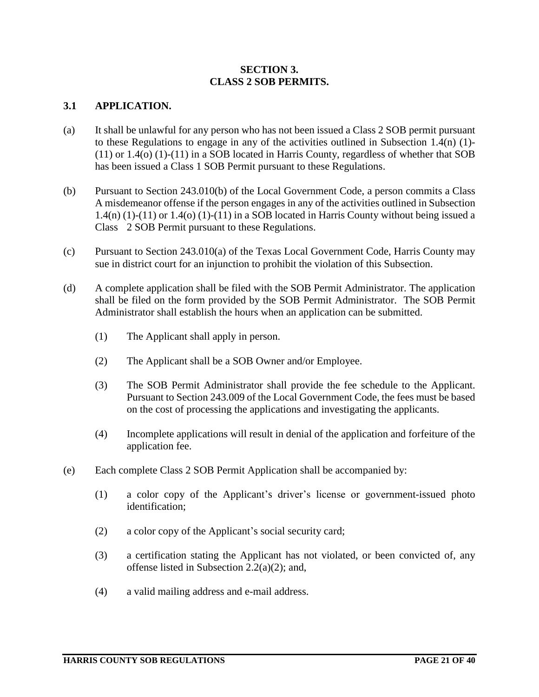## **SECTION 3. CLASS 2 SOB PERMITS.**

## **3.1 APPLICATION.**

- (a) It shall be unlawful for any person who has not been issued a Class 2 SOB permit pursuant to these Regulations to engage in any of the activities outlined in Subsection 1.4(n) (1)- (11) or 1.4(o) (1)-(11) in a SOB located in Harris County, regardless of whether that SOB has been issued a Class 1 SOB Permit pursuant to these Regulations.
- (b) Pursuant to Section 243.010(b) of the Local Government Code, a person commits a Class A misdemeanor offense if the person engages in any of the activities outlined in Subsection  $1.4(n)$  (1)-(11) or 1.4(o) (1)-(11) in a SOB located in Harris County without being issued a Class 2 SOB Permit pursuant to these Regulations.
- (c) Pursuant to Section 243.010(a) of the Texas Local Government Code, Harris County may sue in district court for an injunction to prohibit the violation of this Subsection.
- (d) A complete application shall be filed with the SOB Permit Administrator. The application shall be filed on the form provided by the SOB Permit Administrator. The SOB Permit Administrator shall establish the hours when an application can be submitted.
	- (1) The Applicant shall apply in person.
	- (2) The Applicant shall be a SOB Owner and/or Employee.
	- (3) The SOB Permit Administrator shall provide the fee schedule to the Applicant. Pursuant to Section 243.009 of the Local Government Code, the fees must be based on the cost of processing the applications and investigating the applicants.
	- (4) Incomplete applications will result in denial of the application and forfeiture of the application fee.
- (e) Each complete Class 2 SOB Permit Application shall be accompanied by:
	- (1) a color copy of the Applicant's driver's license or government-issued photo identification;
	- (2) a color copy of the Applicant's social security card;
	- (3) a certification stating the Applicant has not violated, or been convicted of, any offense listed in Subsection 2.2(a)(2); and,
	- (4) a valid mailing address and e-mail address.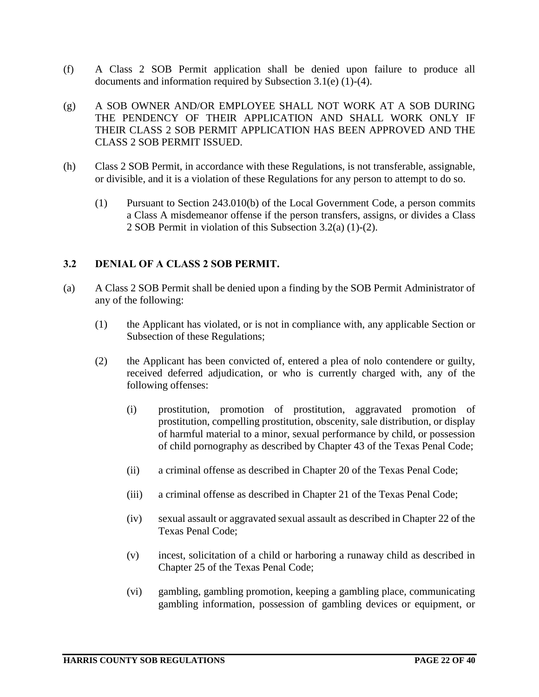- (f) A Class 2 SOB Permit application shall be denied upon failure to produce all documents and information required by Subsection 3.1(e) (1)-(4).
- (g) A SOB OWNER AND/OR EMPLOYEE SHALL NOT WORK AT A SOB DURING THE PENDENCY OF THEIR APPLICATION AND SHALL WORK ONLY IF THEIR CLASS 2 SOB PERMIT APPLICATION HAS BEEN APPROVED AND THE CLASS 2 SOB PERMIT ISSUED.
- (h) Class 2 SOB Permit, in accordance with these Regulations, is not transferable, assignable, or divisible, and it is a violation of these Regulations for any person to attempt to do so.
	- (1) Pursuant to Section 243.010(b) of the Local Government Code, a person commits a Class A misdemeanor offense if the person transfers, assigns, or divides a Class 2 SOB Permit in violation of this Subsection 3.2(a) (1)-(2).

## **3.2 DENIAL OF A CLASS 2 SOB PERMIT.**

- (a) A Class 2 SOB Permit shall be denied upon a finding by the SOB Permit Administrator of any of the following:
	- (1) the Applicant has violated, or is not in compliance with, any applicable Section or Subsection of these Regulations;
	- (2) the Applicant has been convicted of, entered a plea of nolo contendere or guilty, received deferred adjudication, or who is currently charged with, any of the following offenses:
		- (i) prostitution, promotion of prostitution, aggravated promotion of prostitution, compelling prostitution, obscenity, sale distribution, or display of harmful material to a minor, sexual performance by child, or possession of child pornography as described by Chapter 43 of the Texas Penal Code;
		- (ii) a criminal offense as described in Chapter 20 of the Texas Penal Code;
		- (iii) a criminal offense as described in Chapter 21 of the Texas Penal Code;
		- (iv) sexual assault or aggravated sexual assault as described in Chapter 22 of the Texas Penal Code;
		- (v) incest, solicitation of a child or harboring a runaway child as described in Chapter 25 of the Texas Penal Code;
		- (vi) gambling, gambling promotion, keeping a gambling place, communicating gambling information, possession of gambling devices or equipment, or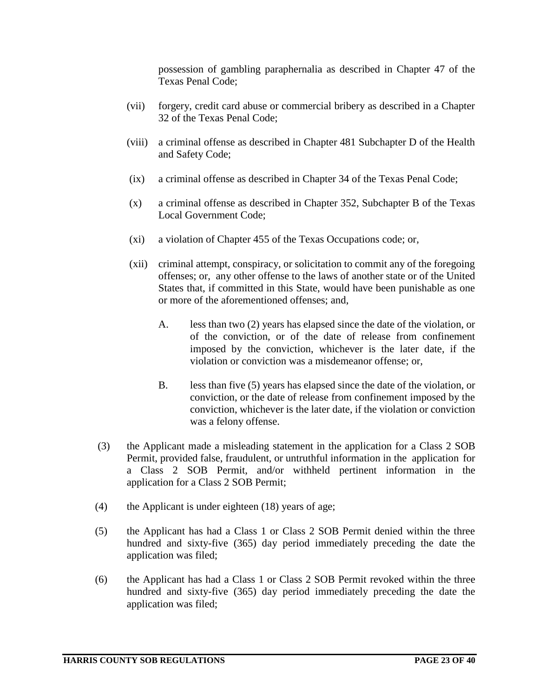possession of gambling paraphernalia as described in Chapter 47 of the Texas Penal Code;

- (vii) forgery, credit card abuse or commercial bribery as described in a Chapter 32 of the Texas Penal Code;
- (viii) a criminal offense as described in Chapter 481 Subchapter D of the Health and Safety Code;
- (ix) a criminal offense as described in Chapter 34 of the Texas Penal Code;
- (x) a criminal offense as described in Chapter 352, Subchapter B of the Texas Local Government Code;
- (xi) a violation of Chapter 455 of the Texas Occupations code; or,
- (xii) criminal attempt, conspiracy, or solicitation to commit any of the foregoing offenses; or, any other offense to the laws of another state or of the United States that, if committed in this State, would have been punishable as one or more of the aforementioned offenses; and,
	- A. less than two (2) years has elapsed since the date of the violation, or of the conviction, or of the date of release from confinement imposed by the conviction, whichever is the later date, if the violation or conviction was a misdemeanor offense; or,
	- B. less than five (5) years has elapsed since the date of the violation, or conviction, or the date of release from confinement imposed by the conviction, whichever is the later date, if the violation or conviction was a felony offense.
- (3) the Applicant made a misleading statement in the application for a Class 2 SOB Permit, provided false, fraudulent, or untruthful information in the application for a Class 2 SOB Permit, and/or withheld pertinent information in the application for a Class 2 SOB Permit;
- (4) the Applicant is under eighteen (18) years of age;
- (5) the Applicant has had a Class 1 or Class 2 SOB Permit denied within the three hundred and sixty-five (365) day period immediately preceding the date the application was filed;
- (6) the Applicant has had a Class 1 or Class 2 SOB Permit revoked within the three hundred and sixty-five (365) day period immediately preceding the date the application was filed;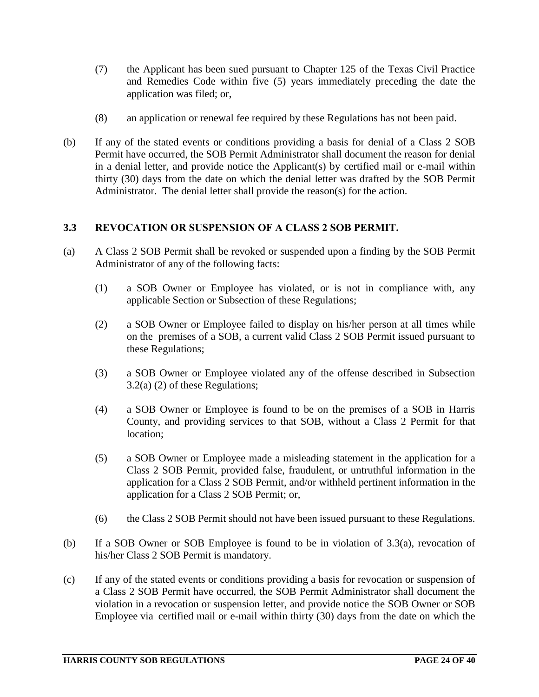- (7) the Applicant has been sued pursuant to Chapter 125 of the Texas Civil Practice and Remedies Code within five (5) years immediately preceding the date the application was filed; or,
- (8) an application or renewal fee required by these Regulations has not been paid.
- (b) If any of the stated events or conditions providing a basis for denial of a Class 2 SOB Permit have occurred, the SOB Permit Administrator shall document the reason for denial in a denial letter, and provide notice the Applicant(s) by certified mail or e-mail within thirty (30) days from the date on which the denial letter was drafted by the SOB Permit Administrator. The denial letter shall provide the reason(s) for the action.

# **3.3 REVOCATION OR SUSPENSION OF A CLASS 2 SOB PERMIT.**

- (a) A Class 2 SOB Permit shall be revoked or suspended upon a finding by the SOB Permit Administrator of any of the following facts:
	- (1) a SOB Owner or Employee has violated, or is not in compliance with, any applicable Section or Subsection of these Regulations;
	- (2) a SOB Owner or Employee failed to display on his/her person at all times while on the premises of a SOB, a current valid Class 2 SOB Permit issued pursuant to these Regulations;
	- (3) a SOB Owner or Employee violated any of the offense described in Subsection 3.2(a) (2) of these Regulations;
	- (4) a SOB Owner or Employee is found to be on the premises of a SOB in Harris County, and providing services to that SOB, without a Class 2 Permit for that location;
	- (5) a SOB Owner or Employee made a misleading statement in the application for a Class 2 SOB Permit, provided false, fraudulent, or untruthful information in the application for a Class 2 SOB Permit, and/or withheld pertinent information in the application for a Class 2 SOB Permit; or,
	- (6) the Class 2 SOB Permit should not have been issued pursuant to these Regulations.
- (b) If a SOB Owner or SOB Employee is found to be in violation of 3.3(a), revocation of his/her Class 2 SOB Permit is mandatory.
- (c) If any of the stated events or conditions providing a basis for revocation or suspension of a Class 2 SOB Permit have occurred, the SOB Permit Administrator shall document the violation in a revocation or suspension letter, and provide notice the SOB Owner or SOB Employee via certified mail or e-mail within thirty (30) days from the date on which the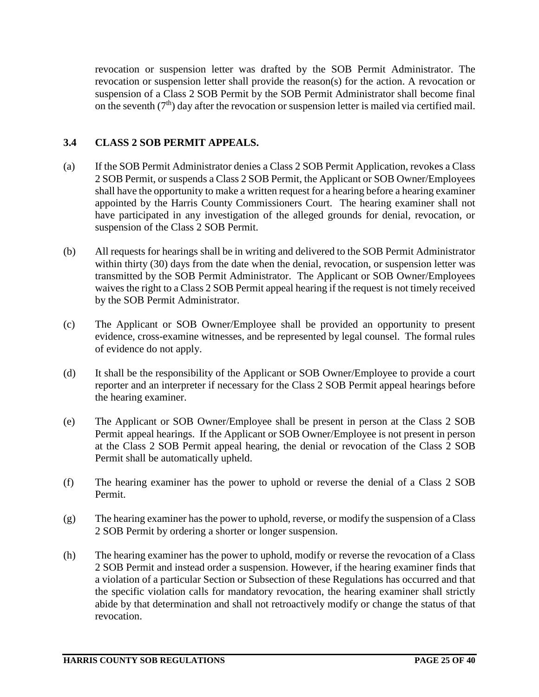revocation or suspension letter was drafted by the SOB Permit Administrator. The revocation or suspension letter shall provide the reason(s) for the action. A revocation or suspension of a Class 2 SOB Permit by the SOB Permit Administrator shall become final on the seventh  $(7<sup>th</sup>)$  day after the revocation or suspension letter is mailed via certified mail.

# **3.4 CLASS 2 SOB PERMIT APPEALS.**

- (a) If the SOB Permit Administrator denies a Class 2 SOB Permit Application, revokes a Class 2 SOB Permit, or suspends a Class 2 SOB Permit, the Applicant or SOB Owner/Employees shall have the opportunity to make a written request for a hearing before a hearing examiner appointed by the Harris County Commissioners Court. The hearing examiner shall not have participated in any investigation of the alleged grounds for denial, revocation, or suspension of the Class 2 SOB Permit.
- (b) All requests for hearings shall be in writing and delivered to the SOB Permit Administrator within thirty (30) days from the date when the denial, revocation, or suspension letter was transmitted by the SOB Permit Administrator. The Applicant or SOB Owner/Employees waives the right to a Class 2 SOB Permit appeal hearing if the request is not timely received by the SOB Permit Administrator.
- (c) The Applicant or SOB Owner/Employee shall be provided an opportunity to present evidence, cross-examine witnesses, and be represented by legal counsel. The formal rules of evidence do not apply.
- (d) It shall be the responsibility of the Applicant or SOB Owner/Employee to provide a court reporter and an interpreter if necessary for the Class 2 SOB Permit appeal hearings before the hearing examiner.
- (e) The Applicant or SOB Owner/Employee shall be present in person at the Class 2 SOB Permit appeal hearings. If the Applicant or SOB Owner/Employee is not present in person at the Class 2 SOB Permit appeal hearing, the denial or revocation of the Class 2 SOB Permit shall be automatically upheld.
- (f) The hearing examiner has the power to uphold or reverse the denial of a Class 2 SOB Permit.
- (g) The hearing examiner has the power to uphold, reverse, or modify the suspension of a Class 2 SOB Permit by ordering a shorter or longer suspension.
- (h) The hearing examiner has the power to uphold, modify or reverse the revocation of a Class 2 SOB Permit and instead order a suspension. However, if the hearing examiner finds that a violation of a particular Section or Subsection of these Regulations has occurred and that the specific violation calls for mandatory revocation, the hearing examiner shall strictly abide by that determination and shall not retroactively modify or change the status of that revocation.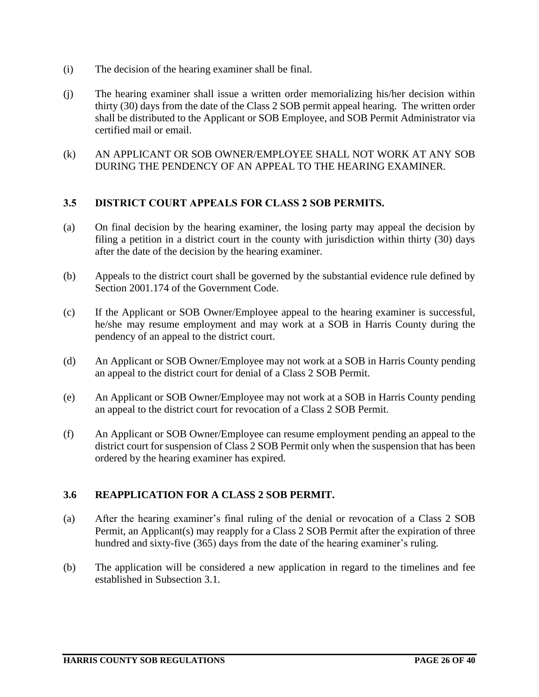- (i) The decision of the hearing examiner shall be final.
- (j) The hearing examiner shall issue a written order memorializing his/her decision within thirty (30) days from the date of the Class 2 SOB permit appeal hearing. The written order shall be distributed to the Applicant or SOB Employee, and SOB Permit Administrator via certified mail or email.
- (k) AN APPLICANT OR SOB OWNER/EMPLOYEE SHALL NOT WORK AT ANY SOB DURING THE PENDENCY OF AN APPEAL TO THE HEARING EXAMINER.

## **3.5 DISTRICT COURT APPEALS FOR CLASS 2 SOB PERMITS.**

- (a) On final decision by the hearing examiner, the losing party may appeal the decision by filing a petition in a district court in the county with jurisdiction within thirty (30) days after the date of the decision by the hearing examiner.
- (b) Appeals to the district court shall be governed by the substantial evidence rule defined by Section 2001.174 of the Government Code.
- (c) If the Applicant or SOB Owner/Employee appeal to the hearing examiner is successful, he/she may resume employment and may work at a SOB in Harris County during the pendency of an appeal to the district court.
- (d) An Applicant or SOB Owner/Employee may not work at a SOB in Harris County pending an appeal to the district court for denial of a Class 2 SOB Permit.
- (e) An Applicant or SOB Owner/Employee may not work at a SOB in Harris County pending an appeal to the district court for revocation of a Class 2 SOB Permit.
- (f) An Applicant or SOB Owner/Employee can resume employment pending an appeal to the district court for suspension of Class 2 SOB Permit only when the suspension that has been ordered by the hearing examiner has expired.

# **3.6 REAPPLICATION FOR A CLASS 2 SOB PERMIT.**

- (a) After the hearing examiner's final ruling of the denial or revocation of a Class 2 SOB Permit, an Applicant(s) may reapply for a Class 2 SOB Permit after the expiration of three hundred and sixty-five (365) days from the date of the hearing examiner's ruling.
- (b) The application will be considered a new application in regard to the timelines and fee established in Subsection 3.1.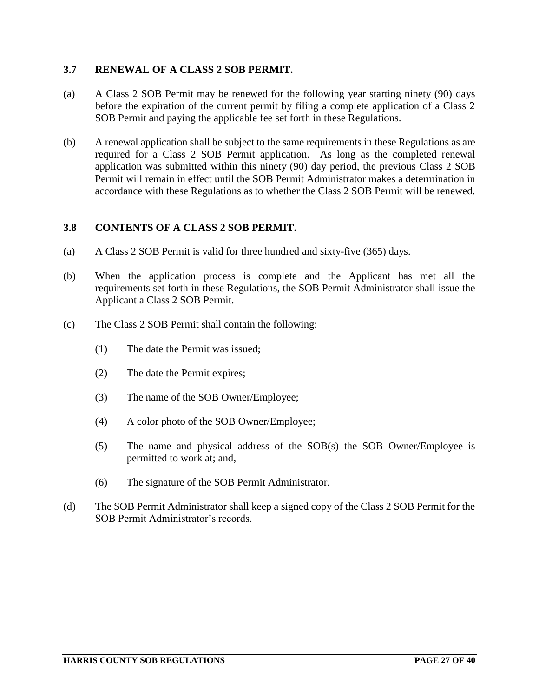# **3.7 RENEWAL OF A CLASS 2 SOB PERMIT.**

- (a) A Class 2 SOB Permit may be renewed for the following year starting ninety (90) days before the expiration of the current permit by filing a complete application of a Class 2 SOB Permit and paying the applicable fee set forth in these Regulations.
- (b) A renewal application shall be subject to the same requirements in these Regulations as are required for a Class 2 SOB Permit application. As long as the completed renewal application was submitted within this ninety (90) day period, the previous Class 2 SOB Permit will remain in effect until the SOB Permit Administrator makes a determination in accordance with these Regulations as to whether the Class 2 SOB Permit will be renewed.

## **3.8 CONTENTS OF A CLASS 2 SOB PERMIT.**

- (a) A Class 2 SOB Permit is valid for three hundred and sixty-five (365) days.
- (b) When the application process is complete and the Applicant has met all the requirements set forth in these Regulations, the SOB Permit Administrator shall issue the Applicant a Class 2 SOB Permit.
- (c) The Class 2 SOB Permit shall contain the following:
	- (1) The date the Permit was issued;
	- (2) The date the Permit expires;
	- (3) The name of the SOB Owner/Employee;
	- (4) A color photo of the SOB Owner/Employee;
	- (5) The name and physical address of the SOB(s) the SOB Owner/Employee is permitted to work at; and,
	- (6) The signature of the SOB Permit Administrator.
- (d) The SOB Permit Administrator shall keep a signed copy of the Class 2 SOB Permit for the SOB Permit Administrator's records.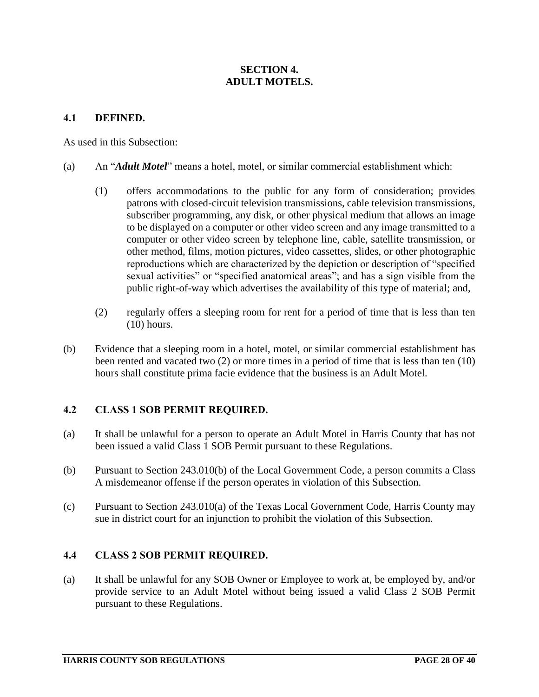# **SECTION 4. ADULT MOTELS.**

## **4.1 DEFINED.**

As used in this Subsection:

- (a) An "*Adult Motel*" means a hotel, motel, or similar commercial establishment which:
	- (1) offers accommodations to the public for any form of consideration; provides patrons with closed-circuit television transmissions, cable television transmissions, subscriber programming, any disk, or other physical medium that allows an image to be displayed on a computer or other video screen and any image transmitted to a computer or other video screen by telephone line, cable, satellite transmission, or other method, films, motion pictures, video cassettes, slides, or other photographic reproductions which are characterized by the depiction or description of "specified sexual activities" or "specified anatomical areas"; and has a sign visible from the public right-of-way which advertises the availability of this type of material; and,
	- (2) regularly offers a sleeping room for rent for a period of time that is less than ten (10) hours.
- (b) Evidence that a sleeping room in a hotel, motel, or similar commercial establishment has been rented and vacated two (2) or more times in a period of time that is less than ten (10) hours shall constitute prima facie evidence that the business is an Adult Motel.

# **4.2 CLASS 1 SOB PERMIT REQUIRED.**

- (a) It shall be unlawful for a person to operate an Adult Motel in Harris County that has not been issued a valid Class 1 SOB Permit pursuant to these Regulations.
- (b) Pursuant to Section 243.010(b) of the Local Government Code, a person commits a Class A misdemeanor offense if the person operates in violation of this Subsection.
- (c) Pursuant to Section 243.010(a) of the Texas Local Government Code, Harris County may sue in district court for an injunction to prohibit the violation of this Subsection.

#### **4.4 CLASS 2 SOB PERMIT REQUIRED.**

(a) It shall be unlawful for any SOB Owner or Employee to work at, be employed by, and/or provide service to an Adult Motel without being issued a valid Class 2 SOB Permit pursuant to these Regulations.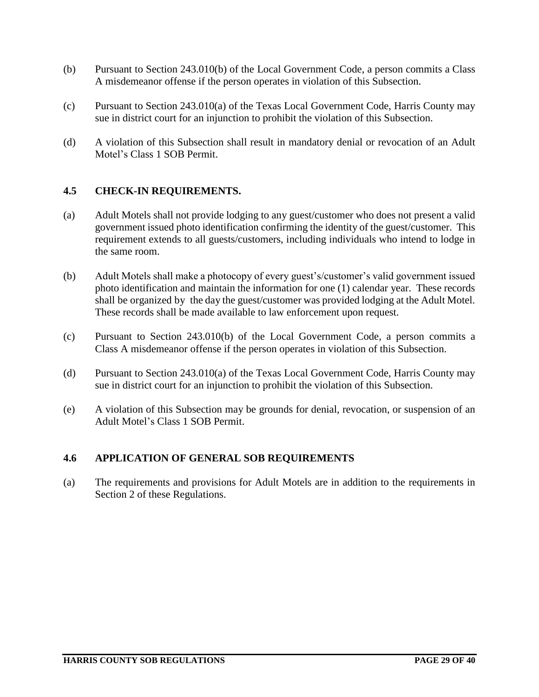- (b) Pursuant to Section 243.010(b) of the Local Government Code, a person commits a Class A misdemeanor offense if the person operates in violation of this Subsection.
- (c) Pursuant to Section 243.010(a) of the Texas Local Government Code, Harris County may sue in district court for an injunction to prohibit the violation of this Subsection.
- (d) A violation of this Subsection shall result in mandatory denial or revocation of an Adult Motel's Class 1 SOB Permit.

## **4.5 CHECK-IN REQUIREMENTS.**

- (a) Adult Motels shall not provide lodging to any guest/customer who does not present a valid government issued photo identification confirming the identity of the guest/customer. This requirement extends to all guests/customers, including individuals who intend to lodge in the same room.
- (b) Adult Motels shall make a photocopy of every guest's/customer's valid government issued photo identification and maintain the information for one (1) calendar year. These records shall be organized by the day the guest/customer was provided lodging at the Adult Motel. These records shall be made available to law enforcement upon request.
- (c) Pursuant to Section 243.010(b) of the Local Government Code, a person commits a Class A misdemeanor offense if the person operates in violation of this Subsection.
- (d) Pursuant to Section 243.010(a) of the Texas Local Government Code, Harris County may sue in district court for an injunction to prohibit the violation of this Subsection.
- (e) A violation of this Subsection may be grounds for denial, revocation, or suspension of an Adult Motel's Class 1 SOB Permit.

#### **4.6 APPLICATION OF GENERAL SOB REQUIREMENTS**

(a) The requirements and provisions for Adult Motels are in addition to the requirements in Section 2 of these Regulations.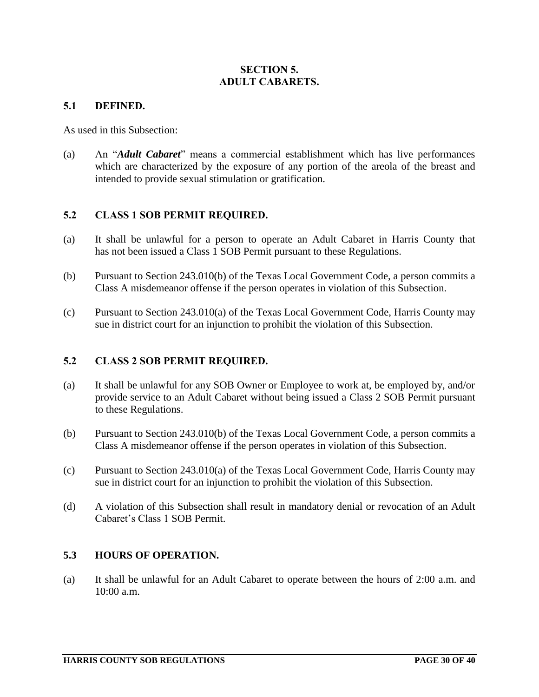# **SECTION 5. ADULT CABARETS.**

## **5.1 DEFINED.**

As used in this Subsection:

(a) An "*Adult Cabaret*" means a commercial establishment which has live performances which are characterized by the exposure of any portion of the areola of the breast and intended to provide sexual stimulation or gratification.

# **5.2 CLASS 1 SOB PERMIT REQUIRED.**

- (a) It shall be unlawful for a person to operate an Adult Cabaret in Harris County that has not been issued a Class 1 SOB Permit pursuant to these Regulations.
- (b) Pursuant to Section 243.010(b) of the Texas Local Government Code, a person commits a Class A misdemeanor offense if the person operates in violation of this Subsection.
- (c) Pursuant to Section 243.010(a) of the Texas Local Government Code, Harris County may sue in district court for an injunction to prohibit the violation of this Subsection.

# **5.2 CLASS 2 SOB PERMIT REQUIRED.**

- (a) It shall be unlawful for any SOB Owner or Employee to work at, be employed by, and/or provide service to an Adult Cabaret without being issued a Class 2 SOB Permit pursuant to these Regulations.
- (b) Pursuant to Section 243.010(b) of the Texas Local Government Code, a person commits a Class A misdemeanor offense if the person operates in violation of this Subsection.
- (c) Pursuant to Section 243.010(a) of the Texas Local Government Code, Harris County may sue in district court for an injunction to prohibit the violation of this Subsection.
- (d) A violation of this Subsection shall result in mandatory denial or revocation of an Adult Cabaret's Class 1 SOB Permit.

#### **5.3 HOURS OF OPERATION.**

(a) It shall be unlawful for an Adult Cabaret to operate between the hours of 2:00 a.m. and 10:00 a.m.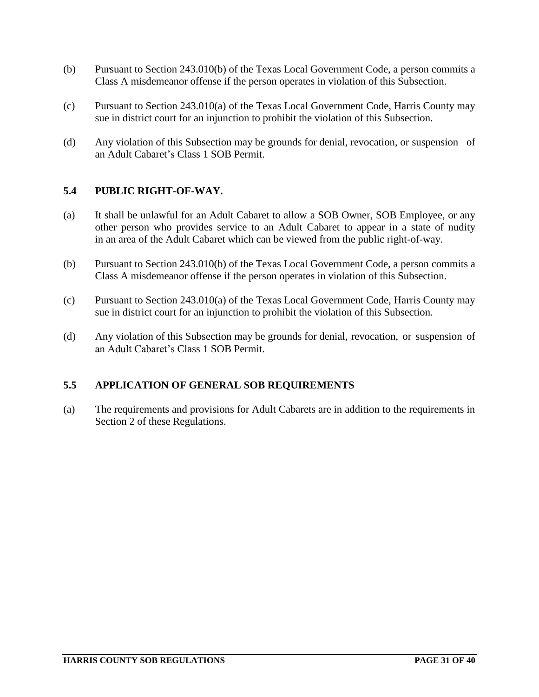- (b) Pursuant to Section 243.010(b) of the Texas Local Government Code, a person commits a Class A misdemeanor offense if the person operates in violation of this Subsection.
- (c) Pursuant to Section 243.010(a) of the Texas Local Government Code, Harris County may sue in district court for an injunction to prohibit the violation of this Subsection.
- (d) Any violation of this Subsection may be grounds for denial, revocation, or suspension of an Adult Cabaret's Class 1 SOB Permit.

# **5.4 PUBLIC RIGHT-OF-WAY.**

- (a) It shall be unlawful for an Adult Cabaret to allow a SOB Owner, SOB Employee, or any other person who provides service to an Adult Cabaret to appear in a state of nudity in an area of the Adult Cabaret which can be viewed from the public right-of-way.
- (b) Pursuant to Section 243.010(b) of the Texas Local Government Code, a person commits a Class A misdemeanor offense if the person operates in violation of this Subsection.
- (c) Pursuant to Section 243.010(a) of the Texas Local Government Code, Harris County may sue in district court for an injunction to prohibit the violation of this Subsection.
- (d) Any violation of this Subsection may be grounds for denial, revocation, or suspension of an Adult Cabaret's Class 1 SOB Permit.

# **5.5 APPLICATION OF GENERAL SOB REQUIREMENTS**

(a) The requirements and provisions for Adult Cabarets are in addition to the requirements in Section 2 of these Regulations.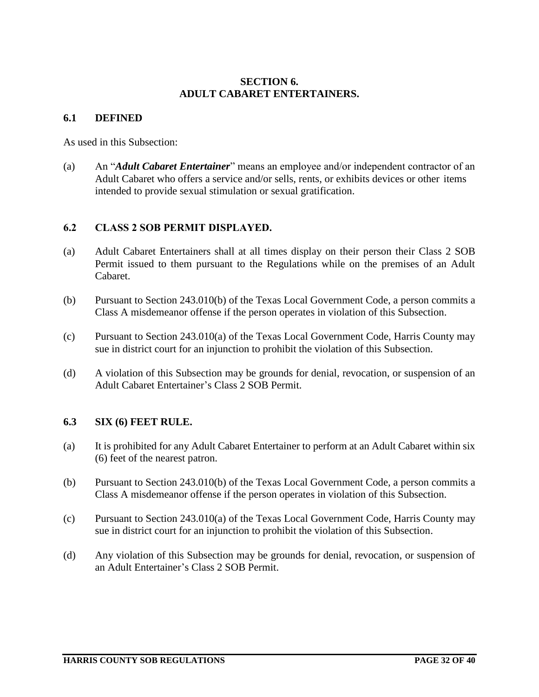## **SECTION 6. ADULT CABARET ENTERTAINERS.**

## **6.1 DEFINED**

As used in this Subsection:

(a) An "*Adult Cabaret Entertainer*" means an employee and/or independent contractor of an Adult Cabaret who offers a service and/or sells, rents, or exhibits devices or other items intended to provide sexual stimulation or sexual gratification.

# **6.2 CLASS 2 SOB PERMIT DISPLAYED.**

- (a) Adult Cabaret Entertainers shall at all times display on their person their Class 2 SOB Permit issued to them pursuant to the Regulations while on the premises of an Adult Cabaret.
- (b) Pursuant to Section 243.010(b) of the Texas Local Government Code, a person commits a Class A misdemeanor offense if the person operates in violation of this Subsection.
- (c) Pursuant to Section 243.010(a) of the Texas Local Government Code, Harris County may sue in district court for an injunction to prohibit the violation of this Subsection.
- (d) A violation of this Subsection may be grounds for denial, revocation, or suspension of an Adult Cabaret Entertainer's Class 2 SOB Permit.

# **6.3 SIX (6) FEET RULE.**

- (a) It is prohibited for any Adult Cabaret Entertainer to perform at an Adult Cabaret within six (6) feet of the nearest patron.
- (b) Pursuant to Section 243.010(b) of the Texas Local Government Code, a person commits a Class A misdemeanor offense if the person operates in violation of this Subsection.
- (c) Pursuant to Section 243.010(a) of the Texas Local Government Code, Harris County may sue in district court for an injunction to prohibit the violation of this Subsection.
- (d) Any violation of this Subsection may be grounds for denial, revocation, or suspension of an Adult Entertainer's Class 2 SOB Permit.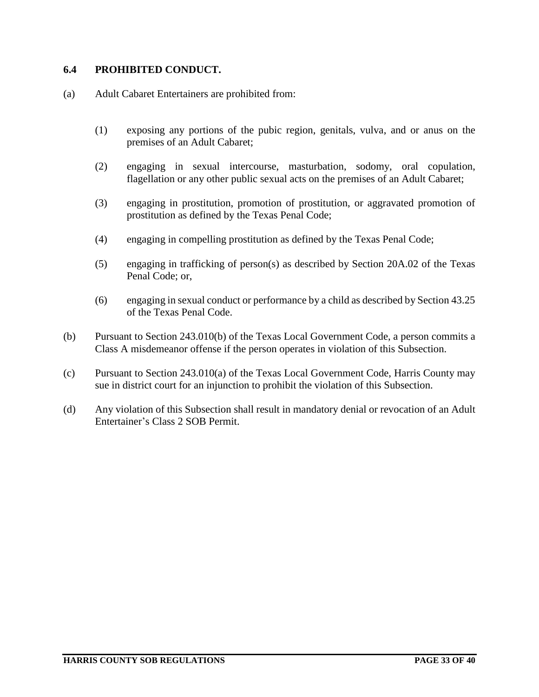## **6.4 PROHIBITED CONDUCT.**

- (a) Adult Cabaret Entertainers are prohibited from:
	- (1) exposing any portions of the pubic region, genitals, vulva, and or anus on the premises of an Adult Cabaret;
	- (2) engaging in sexual intercourse, masturbation, sodomy, oral copulation, flagellation or any other public sexual acts on the premises of an Adult Cabaret;
	- (3) engaging in prostitution, promotion of prostitution, or aggravated promotion of prostitution as defined by the Texas Penal Code;
	- (4) engaging in compelling prostitution as defined by the Texas Penal Code;
	- (5) engaging in trafficking of person(s) as described by Section 20A.02 of the Texas Penal Code; or,
	- (6) engaging in sexual conduct or performance by a child as described by Section 43.25 of the Texas Penal Code.
- (b) Pursuant to Section 243.010(b) of the Texas Local Government Code, a person commits a Class A misdemeanor offense if the person operates in violation of this Subsection.
- (c) Pursuant to Section 243.010(a) of the Texas Local Government Code, Harris County may sue in district court for an injunction to prohibit the violation of this Subsection.
- (d) Any violation of this Subsection shall result in mandatory denial or revocation of an Adult Entertainer's Class 2 SOB Permit.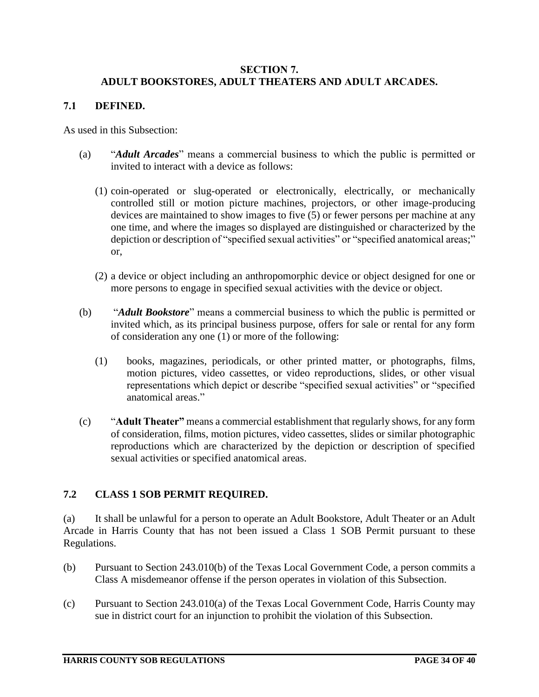## **SECTION 7. ADULT BOOKSTORES, ADULT THEATERS AND ADULT ARCADES.**

## **7.1 DEFINED.**

As used in this Subsection:

- (a) "*Adult Arcades*" means a commercial business to which the public is permitted or invited to interact with a device as follows:
	- (1) coin-operated or slug-operated or electronically, electrically, or mechanically controlled still or motion picture machines, projectors, or other image-producing devices are maintained to show images to five (5) or fewer persons per machine at any one time, and where the images so displayed are distinguished or characterized by the depiction or description of "specified sexual activities" or "specified anatomical areas;" or,
	- (2) a device or object including an anthropomorphic device or object designed for one or more persons to engage in specified sexual activities with the device or object.
- (b) "*Adult Bookstore*" means a commercial business to which the public is permitted or invited which, as its principal business purpose, offers for sale or rental for any form of consideration any one (1) or more of the following:
	- (1) books, magazines, periodicals, or other printed matter, or photographs, films, motion pictures, video cassettes, or video reproductions, slides, or other visual representations which depict or describe "specified sexual activities" or "specified anatomical areas."
- (c) "**Adult Theater"** means a commercial establishment that regularly shows, for any form of consideration, films, motion pictures, video cassettes, slides or similar photographic reproductions which are characterized by the depiction or description of specified sexual activities or specified anatomical areas.

# **7.2 CLASS 1 SOB PERMIT REQUIRED.**

(a) It shall be unlawful for a person to operate an Adult Bookstore, Adult Theater or an Adult Arcade in Harris County that has not been issued a Class 1 SOB Permit pursuant to these Regulations.

- (b) Pursuant to Section 243.010(b) of the Texas Local Government Code, a person commits a Class A misdemeanor offense if the person operates in violation of this Subsection.
- (c) Pursuant to Section 243.010(a) of the Texas Local Government Code, Harris County may sue in district court for an injunction to prohibit the violation of this Subsection.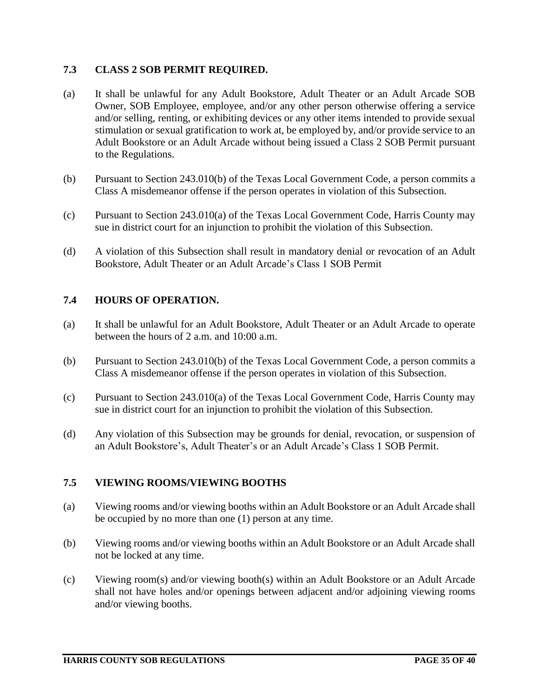# **7.3 CLASS 2 SOB PERMIT REQUIRED.**

- (a) It shall be unlawful for any Adult Bookstore, Adult Theater or an Adult Arcade SOB Owner, SOB Employee, employee, and/or any other person otherwise offering a service and/or selling, renting, or exhibiting devices or any other items intended to provide sexual stimulation or sexual gratification to work at, be employed by, and/or provide service to an Adult Bookstore or an Adult Arcade without being issued a Class 2 SOB Permit pursuant to the Regulations.
- (b) Pursuant to Section 243.010(b) of the Texas Local Government Code, a person commits a Class A misdemeanor offense if the person operates in violation of this Subsection.
- (c) Pursuant to Section 243.010(a) of the Texas Local Government Code, Harris County may sue in district court for an injunction to prohibit the violation of this Subsection.
- (d) A violation of this Subsection shall result in mandatory denial or revocation of an Adult Bookstore, Adult Theater or an Adult Arcade's Class 1 SOB Permit

# **7.4 HOURS OF OPERATION.**

- (a) It shall be unlawful for an Adult Bookstore, Adult Theater or an Adult Arcade to operate between the hours of 2 a.m. and 10:00 a.m.
- (b) Pursuant to Section 243.010(b) of the Texas Local Government Code, a person commits a Class A misdemeanor offense if the person operates in violation of this Subsection.
- (c) Pursuant to Section 243.010(a) of the Texas Local Government Code, Harris County may sue in district court for an injunction to prohibit the violation of this Subsection.
- (d) Any violation of this Subsection may be grounds for denial, revocation, or suspension of an Adult Bookstore's, Adult Theater's or an Adult Arcade's Class 1 SOB Permit.

#### **7.5 VIEWING ROOMS/VIEWING BOOTHS**

- (a) Viewing rooms and/or viewing booths within an Adult Bookstore or an Adult Arcade shall be occupied by no more than one (1) person at any time.
- (b) Viewing rooms and/or viewing booths within an Adult Bookstore or an Adult Arcade shall not be locked at any time.
- (c) Viewing room(s) and/or viewing booth(s) within an Adult Bookstore or an Adult Arcade shall not have holes and/or openings between adjacent and/or adjoining viewing rooms and/or viewing booths.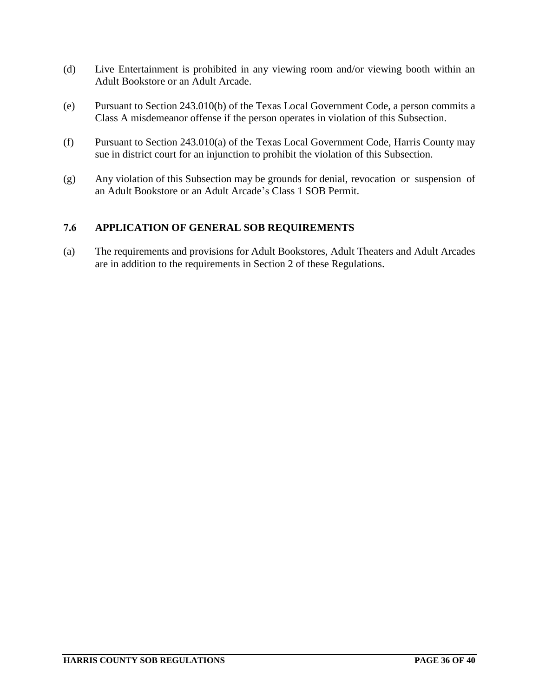- (d) Live Entertainment is prohibited in any viewing room and/or viewing booth within an Adult Bookstore or an Adult Arcade.
- (e) Pursuant to Section 243.010(b) of the Texas Local Government Code, a person commits a Class A misdemeanor offense if the person operates in violation of this Subsection.
- (f) Pursuant to Section 243.010(a) of the Texas Local Government Code, Harris County may sue in district court for an injunction to prohibit the violation of this Subsection.
- (g) Any violation of this Subsection may be grounds for denial, revocation or suspension of an Adult Bookstore or an Adult Arcade's Class 1 SOB Permit.

# **7.6 APPLICATION OF GENERAL SOB REQUIREMENTS**

(a) The requirements and provisions for Adult Bookstores, Adult Theaters and Adult Arcades are in addition to the requirements in Section 2 of these Regulations.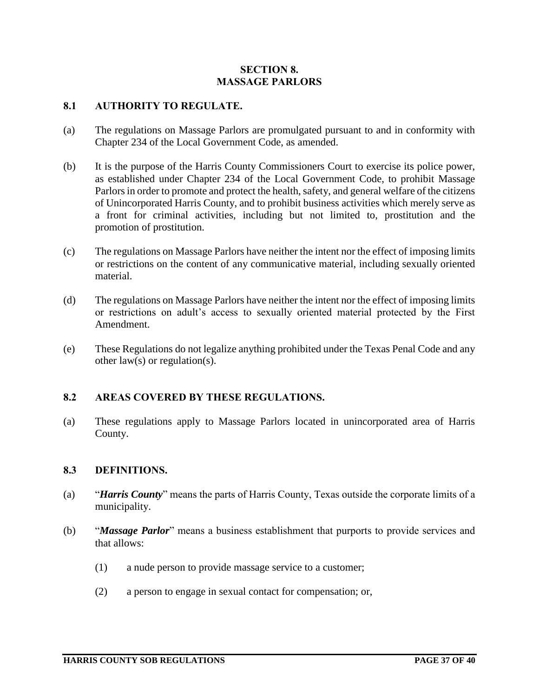## **SECTION 8. MASSAGE PARLORS**

## **8.1 AUTHORITY TO REGULATE.**

- (a) The regulations on Massage Parlors are promulgated pursuant to and in conformity with Chapter 234 of the Local Government Code, as amended.
- (b) It is the purpose of the Harris County Commissioners Court to exercise its police power, as established under Chapter 234 of the Local Government Code, to prohibit Massage Parlors in order to promote and protect the health, safety, and general welfare of the citizens of Unincorporated Harris County, and to prohibit business activities which merely serve as a front for criminal activities, including but not limited to, prostitution and the promotion of prostitution.
- (c) The regulations on Massage Parlors have neither the intent nor the effect of imposing limits or restrictions on the content of any communicative material, including sexually oriented material.
- (d) The regulations on Massage Parlors have neither the intent nor the effect of imposing limits or restrictions on adult's access to sexually oriented material protected by the First Amendment.
- (e) These Regulations do not legalize anything prohibited under the Texas Penal Code and any other law(s) or regulation(s).

# **8.2 AREAS COVERED BY THESE REGULATIONS.**

(a) These regulations apply to Massage Parlors located in unincorporated area of Harris County.

#### **8.3 DEFINITIONS.**

- (a) "*Harris County*" means the parts of Harris County, Texas outside the corporate limits of a municipality.
- (b) "*Massage Parlor*" means a business establishment that purports to provide services and that allows:
	- (1) a nude person to provide massage service to a customer;
	- (2) a person to engage in sexual contact for compensation; or,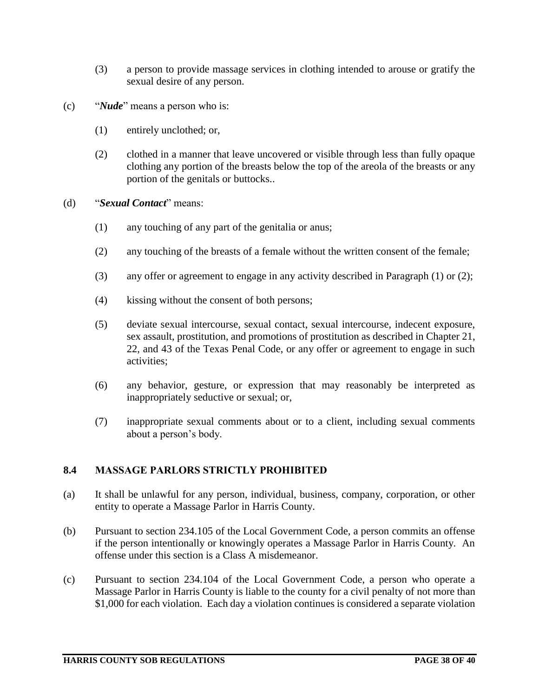- (3) a person to provide massage services in clothing intended to arouse or gratify the sexual desire of any person.
- (c) "*Nude*" means a person who is:
	- (1) entirely unclothed; or,
	- (2) clothed in a manner that leave uncovered or visible through less than fully opaque clothing any portion of the breasts below the top of the areola of the breasts or any portion of the genitals or buttocks..
- (d) "*Sexual Contact*" means:
	- (1) any touching of any part of the genitalia or anus;
	- (2) any touching of the breasts of a female without the written consent of the female;
	- (3) any offer or agreement to engage in any activity described in Paragraph (1) or (2);
	- (4) kissing without the consent of both persons;
	- (5) deviate sexual intercourse, sexual contact, sexual intercourse, indecent exposure, sex assault, prostitution, and promotions of prostitution as described in Chapter 21, 22, and 43 of the Texas Penal Code, or any offer or agreement to engage in such activities;
	- (6) any behavior, gesture, or expression that may reasonably be interpreted as inappropriately seductive or sexual; or,
	- (7) inappropriate sexual comments about or to a client, including sexual comments about a person's body.

#### **8.4 MASSAGE PARLORS STRICTLY PROHIBITED**

- (a) It shall be unlawful for any person, individual, business, company, corporation, or other entity to operate a Massage Parlor in Harris County.
- (b) Pursuant to section 234.105 of the Local Government Code, a person commits an offense if the person intentionally or knowingly operates a Massage Parlor in Harris County. An offense under this section is a Class A misdemeanor.
- (c) Pursuant to section 234.104 of the Local Government Code, a person who operate a Massage Parlor in Harris County is liable to the county for a civil penalty of not more than \$1,000 for each violation. Each day a violation continues is considered a separate violation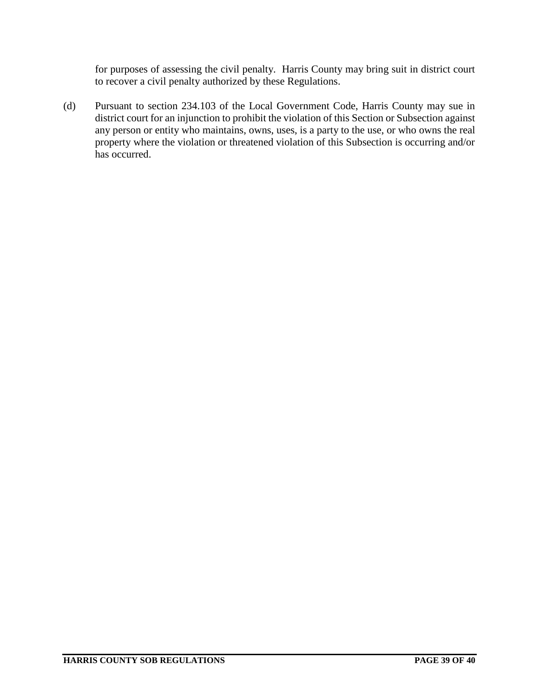for purposes of assessing the civil penalty. Harris County may bring suit in district court to recover a civil penalty authorized by these Regulations.

(d) Pursuant to section 234.103 of the Local Government Code, Harris County may sue in district court for an injunction to prohibit the violation of this Section or Subsection against any person or entity who maintains, owns, uses, is a party to the use, or who owns the real property where the violation or threatened violation of this Subsection is occurring and/or has occurred.